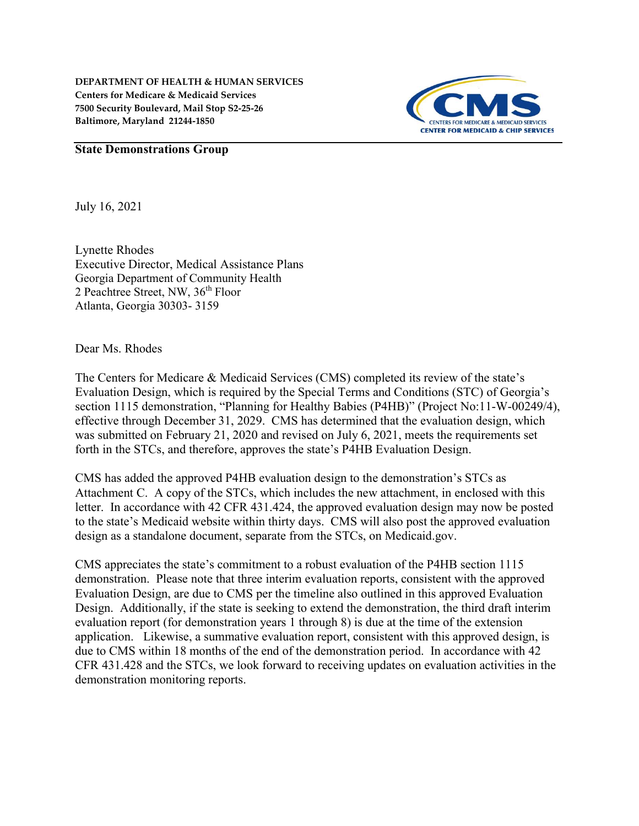

#### State Demonstrations Group

July 16, 2021

Lynette Rhodes Executive Director, Medical Assistance Plans Georgia Department of Community Health 2 Peachtree Street, NW, 36<sup>th</sup> Floor Atlanta, Georgia 30303- 3159

Dear Ms. Rhodes

The Centers for Medicare & Medicaid Services (CMS) completed its review of the state's Evaluation Design, which is required by the Special Terms and Conditions (STC) of Georgia's section 1115 demonstration, "Planning for Healthy Babies (P4HB)" (Project No:11-W-00249/4), effective through December 31, 2029. CMS has determined that the evaluation design, which was submitted on February 21, 2020 and revised on July 6, 2021, meets the requirements set forth in the STCs, and therefore, approves the state's P4HB Evaluation Design.

CMS has added the approved P4HB evaluation design to the demonstration's STCs as Attachment C. A copy of the STCs, which includes the new attachment, in enclosed with this letter. In accordance with 42 CFR 431.424, the approved evaluation design may now be posted to the state's Medicaid website within thirty days. CMS will also post the approved evaluation design as a standalone document, separate from the STCs, on Medicaid.gov.

CMS appreciates the state's commitment to a robust evaluation of the P4HB section 1115 demonstration. Please note that three interim evaluation reports, consistent with the approved Evaluation Design, are due to CMS per the timeline also outlined in this approved Evaluation Design. Additionally, if the state is seeking to extend the demonstration, the third draft interim evaluation report (for demonstration years 1 through 8) is due at the time of the extension application. Likewise, a summative evaluation report, consistent with this approved design, is due to CMS within 18 months of the end of the demonstration period. In accordance with 42 CFR 431.428 and the STCs, we look forward to receiving updates on evaluation activities in the demonstration monitoring reports.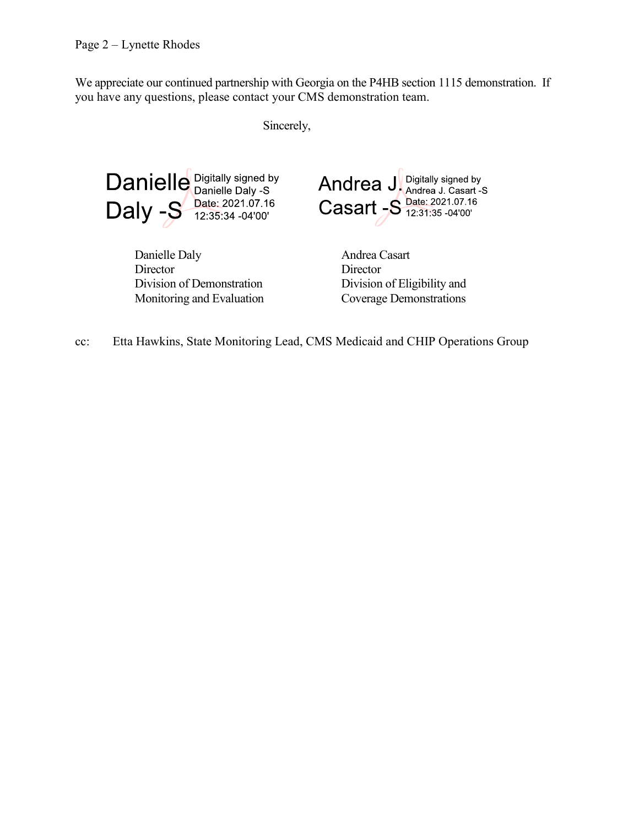We appreciate our continued partnership with Georgia on the P4HB section 1115 demonstration. If you have any questions, please contact your CMS demonstration team.

Sincerely,



Danielle Daly **Director** Division of Demonstration Monitoring and Evaluation



Andrea Casart **Director** Division of Eligibility and Coverage Demonstrations

cc: Etta Hawkins, State Monitoring Lead, CMS Medicaid and CHIP Operations Group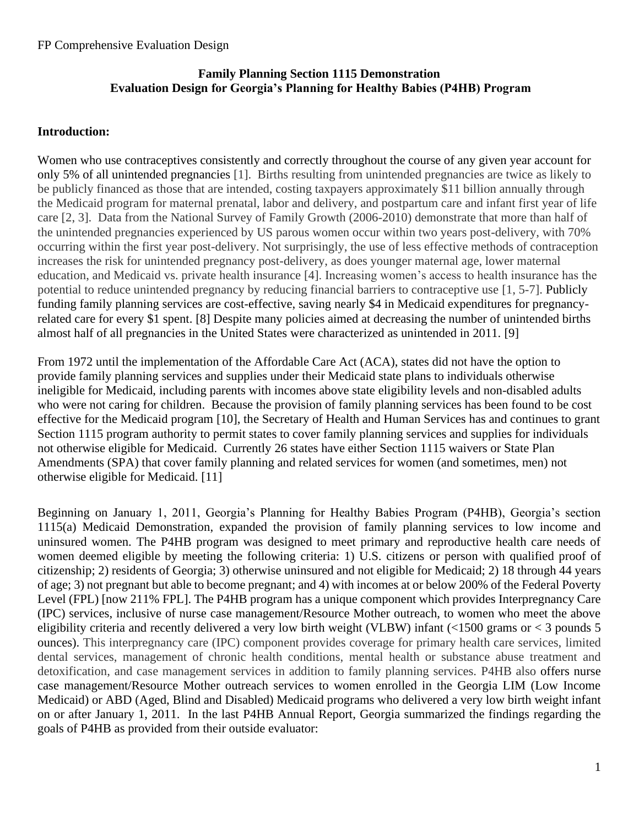## **Family Planning Section 1115 Demonstration Evaluation Design for Georgia's Planning for Healthy Babies (P4HB) Program**

### **Introduction:**

Women who use contraceptives consistently and correctly throughout the course of any given year account for only 5% of all unintended pregnancies [1]. Births resulting from unintended pregnancies are twice as likely to be publicly financed as those that are intended, costing taxpayers approximately \$11 billion annually through the Medicaid program for maternal prenatal, labor and delivery, and postpartum care and infant first year of life care [2, 3]. Data from the National Survey of Family Growth (2006-2010) demonstrate that more than half of the unintended pregnancies experienced by US parous women occur within two years post-delivery, with 70% occurring within the first year post-delivery. Not surprisingly, the use of less effective methods of contraception increases the risk for unintended pregnancy post-delivery, as does younger maternal age, lower maternal education, and Medicaid vs. private health insurance [4]. Increasing women's access to health insurance has the potential to reduce unintended pregnancy by reducing financial barriers to contraceptive use [1, 5-7]. Publicly funding family planning services are cost-effective, saving nearly \$4 in Medicaid expenditures for pregnancyrelated care for every \$1 spent. [8] Despite many policies aimed at decreasing the number of unintended births almost half of all pregnancies in the United States were characterized as unintended in 2011. [9]

From 1972 until the implementation of the Affordable Care Act (ACA), states did not have the option to provide family planning services and supplies under their Medicaid state plans to individuals otherwise ineligible for Medicaid, including parents with incomes above state eligibility levels and non-disabled adults who were not caring for children. Because the provision of family planning services has been found to be cost effective for the Medicaid program [10], the Secretary of Health and Human Services has and continues to grant Section 1115 program authority to permit states to cover family planning services and supplies for individuals not otherwise eligible for Medicaid. Currently 26 states have either Section 1115 waivers or State Plan Amendments (SPA) that cover family planning and related services for women (and sometimes, men) not otherwise eligible for Medicaid. [11]

Beginning on January 1, 2011, Georgia's Planning for Healthy Babies Program (P4HB), Georgia's section 1115(a) Medicaid Demonstration, expanded the provision of family planning services to low income and uninsured women. The P4HB program was designed to meet primary and reproductive health care needs of women deemed eligible by meeting the following criteria: 1) U.S. citizens or person with qualified proof of citizenship; 2) residents of Georgia; 3) otherwise uninsured and not eligible for Medicaid; 2) 18 through 44 years of age; 3) not pregnant but able to become pregnant; and 4) with incomes at or below 200% of the Federal Poverty Level (FPL) [now 211% FPL]. The P4HB program has a unique component which provides Interpregnancy Care (IPC) services, inclusive of nurse case management/Resource Mother outreach, to women who meet the above eligibility criteria and recently delivered a very low birth weight (VLBW) infant (<1500 grams or < 3 pounds 5 ounces). This interpregnancy care (IPC) component provides coverage for primary health care services, limited dental services, management of chronic health conditions, mental health or substance abuse treatment and detoxification, and case management services in addition to family planning services. P4HB also offers nurse case management/Resource Mother outreach services to women enrolled in the Georgia LIM (Low Income Medicaid) or ABD (Aged, Blind and Disabled) Medicaid programs who delivered a very low birth weight infant on or after January 1, 2011. In the last P4HB Annual Report, Georgia summarized the findings regarding the goals of P4HB as provided from their outside evaluator: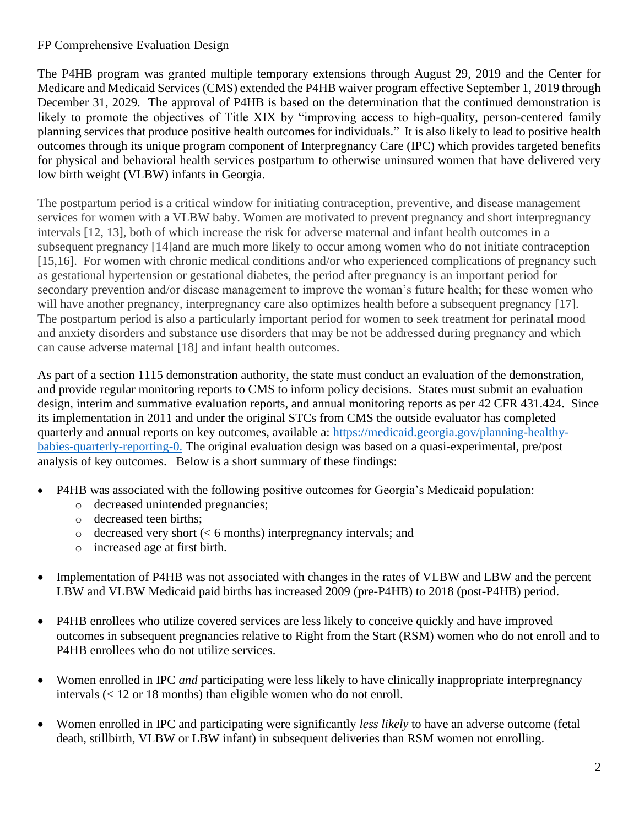The P4HB program was granted multiple temporary extensions through August 29, 2019 and the Center for Medicare and Medicaid Services (CMS) extended the P4HB waiver program effective September 1, 2019 through December 31, 2029. The approval of P4HB is based on the determination that the continued demonstration is likely to promote the objectives of Title XIX by "improving access to high-quality, person-centered family planning services that produce positive health outcomes for individuals." It is also likely to lead to positive health outcomes through its unique program component of Interpregnancy Care (IPC) which provides targeted benefits for physical and behavioral health services postpartum to otherwise uninsured women that have delivered very low birth weight (VLBW) infants in Georgia.

The postpartum period is a critical window for initiating contraception, preventive, and disease management services for women with a VLBW baby. Women are motivated to prevent pregnancy and short interpregnancy intervals [12, 13], both of which increase the risk for adverse maternal and infant health outcomes in a subsequent pregnancy [14]and are much more likely to occur among women who do not initiate contraception [15,16]. For women with chronic medical conditions and/or who experienced complications of pregnancy such as gestational hypertension or gestational diabetes, the period after pregnancy is an important period for secondary prevention and/or disease management to improve the woman's future health; for these women who will have another pregnancy, interpregnancy care also optimizes health before a subsequent pregnancy [17]. The postpartum period is also a particularly important period for women to seek treatment for perinatal mood and anxiety disorders and substance use disorders that may be not be addressed during pregnancy and which can cause adverse maternal [18] and infant health outcomes.

As part of a section 1115 demonstration authority, the state must conduct an evaluation of the demonstration, and provide regular monitoring reports to CMS to inform policy decisions. States must submit an evaluation design, interim and summative evaluation reports, and annual monitoring reports as per 42 CFR 431.424. Since its implementation in 2011 and under the original STCs from CMS the outside evaluator has completed quarterly and annual reports on key outcomes, available a: [https://medicaid.georgia.gov/planning-healthy](https://medicaid.georgia.gov/planning-healthy-babies-quarterly-reporting-0)[babies-quarterly-reporting-0.](https://medicaid.georgia.gov/planning-healthy-babies-quarterly-reporting-0) The original evaluation design was based on a quasi-experimental, pre/post analysis of key outcomes. Below is a short summary of these findings:

- P4HB was associated with the following positive outcomes for Georgia's Medicaid population:
	- o decreased unintended pregnancies;
	- o decreased teen births;
	- o decreased very short (< 6 months) interpregnancy intervals; and
	- o increased age at first birth*.*
- Implementation of P4HB was not associated with changes in the rates of VLBW and LBW and the percent LBW and VLBW Medicaid paid births has increased 2009 (pre-P4HB) to 2018 (post-P4HB) period.
- P4HB enrollees who utilize covered services are less likely to conceive quickly and have improved outcomes in subsequent pregnancies relative to Right from the Start (RSM) women who do not enroll and to P4HB enrollees who do not utilize services.
- Women enrolled in IPC *and* participating were less likely to have clinically inappropriate interpregnancy intervals (< 12 or 18 months) than eligible women who do not enroll.
- Women enrolled in IPC and participating were significantly *less likely* to have an adverse outcome (fetal death, stillbirth, VLBW or LBW infant) in subsequent deliveries than RSM women not enrolling.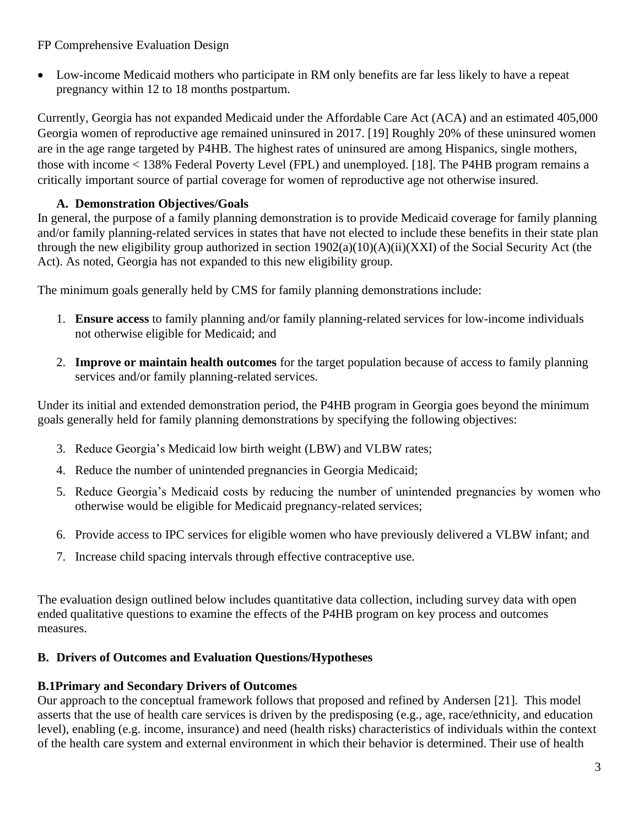• Low-income Medicaid mothers who participate in RM only benefits are far less likely to have a repeat pregnancy within 12 to 18 months postpartum.

Currently, Georgia has not expanded Medicaid under the Affordable Care Act (ACA) and an estimated 405,000 Georgia women of reproductive age remained uninsured in 2017. [19] Roughly 20% of these uninsured women are in the age range targeted by P4HB. The highest rates of uninsured are among Hispanics, single mothers, those with income < 138% Federal Poverty Level (FPL) and unemployed. [18]. The P4HB program remains a critically important source of partial coverage for women of reproductive age not otherwise insured.

# **A. Demonstration Objectives/Goals**

In general, the purpose of a family planning demonstration is to provide Medicaid coverage for family planning and/or family planning-related services in states that have not elected to include these benefits in their state plan through the new eligibility group authorized in section 1902(a)(10)(A)(ii)(XXI) of the Social Security Act (the Act). As noted, Georgia has not expanded to this new eligibility group.

The minimum goals generally held by CMS for family planning demonstrations include:

- 1. **Ensure access** to family planning and/or family planning-related services for low-income individuals not otherwise eligible for Medicaid; and
- 2. **Improve or maintain health outcomes** for the target population because of access to family planning services and/or family planning-related services.

Under its initial and extended demonstration period, the P4HB program in Georgia goes beyond the minimum goals generally held for family planning demonstrations by specifying the following objectives:

- 3. Reduce Georgia's Medicaid low birth weight (LBW) and VLBW rates;
- 4. Reduce the number of unintended pregnancies in Georgia Medicaid;
- 5. Reduce Georgia's Medicaid costs by reducing the number of unintended pregnancies by women who otherwise would be eligible for Medicaid pregnancy-related services;
- 6. Provide access to IPC services for eligible women who have previously delivered a VLBW infant; and
- 7. Increase child spacing intervals through effective contraceptive use.

The evaluation design outlined below includes quantitative data collection, including survey data with open ended qualitative questions to examine the effects of the P4HB program on key process and outcomes measures.

# **B. Drivers of Outcomes and Evaluation Questions/Hypotheses**

# **B.1Primary and Secondary Drivers of Outcomes**

Our approach to the conceptual framework follows that proposed and refined by Andersen [21]. This model asserts that the use of health care services is driven by the predisposing (e.g., age, race/ethnicity, and education level), enabling (e.g. income, insurance) and need (health risks) characteristics of individuals within the context of the health care system and external environment in which their behavior is determined. Their use of health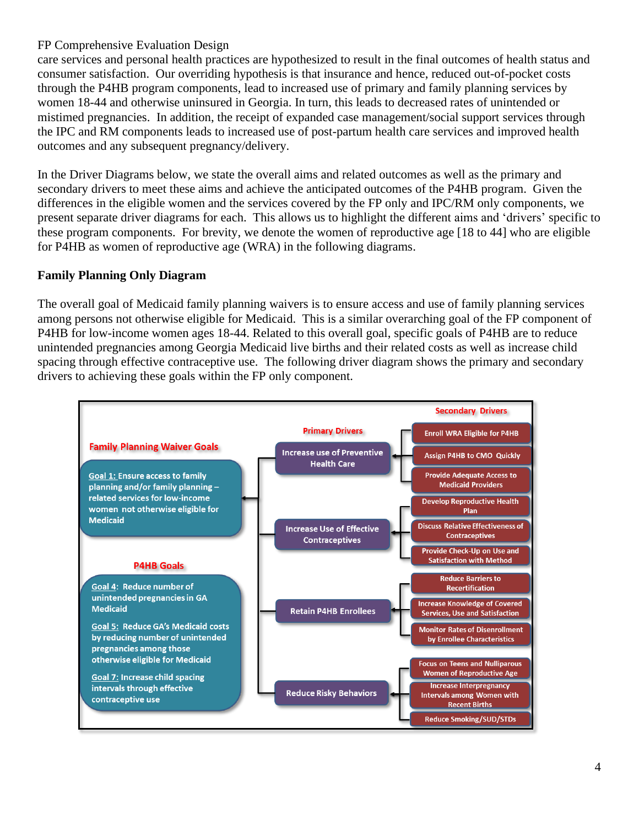care services and personal health practices are hypothesized to result in the final outcomes of health status and consumer satisfaction. Our overriding hypothesis is that insurance and hence, reduced out-of-pocket costs through the P4HB program components, lead to increased use of primary and family planning services by women 18-44 and otherwise uninsured in Georgia. In turn, this leads to decreased rates of unintended or mistimed pregnancies. In addition, the receipt of expanded case management/social support services through the IPC and RM components leads to increased use of post-partum health care services and improved health outcomes and any subsequent pregnancy/delivery.

In the Driver Diagrams below, we state the overall aims and related outcomes as well as the primary and secondary drivers to meet these aims and achieve the anticipated outcomes of the P4HB program. Given the differences in the eligible women and the services covered by the FP only and IPC/RM only components, we present separate driver diagrams for each. This allows us to highlight the different aims and 'drivers' specific to these program components. For brevity, we denote the women of reproductive age [18 to 44] who are eligible for P4HB as women of reproductive age (WRA) in the following diagrams.

# **Family Planning Only Diagram**

The overall goal of Medicaid family planning waivers is to ensure access and use of family planning services among persons not otherwise eligible for Medicaid. This is a similar overarching goal of the FP component of P4HB for low-income women ages 18-44. Related to this overall goal, specific goals of P4HB are to reduce unintended pregnancies among Georgia Medicaid live births and their related costs as well as increase child spacing through effective contraceptive use. The following driver diagram shows the primary and secondary drivers to achieving these goals within the FP only component.

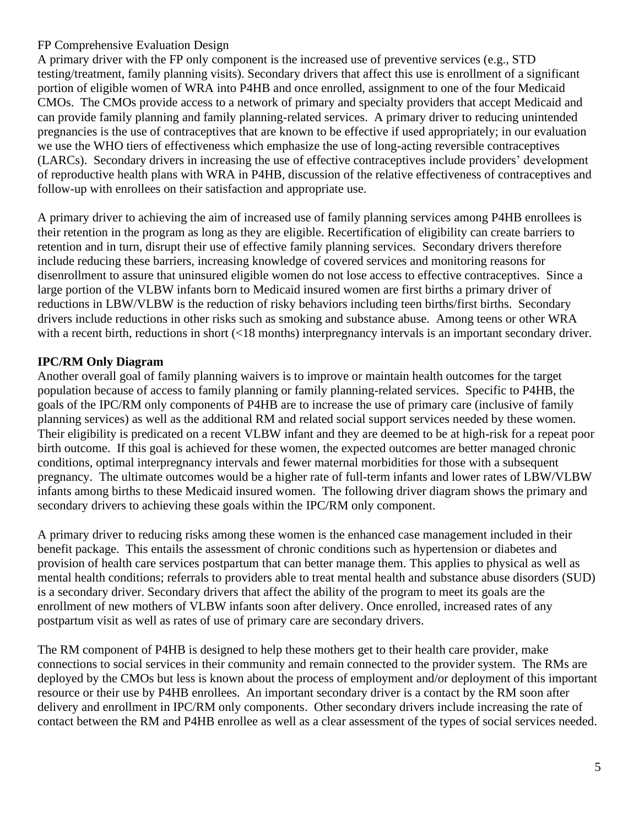A primary driver with the FP only component is the increased use of preventive services (e.g., STD testing/treatment, family planning visits). Secondary drivers that affect this use is enrollment of a significant portion of eligible women of WRA into P4HB and once enrolled, assignment to one of the four Medicaid CMOs. The CMOs provide access to a network of primary and specialty providers that accept Medicaid and can provide family planning and family planning-related services. A primary driver to reducing unintended pregnancies is the use of contraceptives that are known to be effective if used appropriately; in our evaluation we use the WHO tiers of effectiveness which emphasize the use of long-acting reversible contraceptives (LARCs). Secondary drivers in increasing the use of effective contraceptives include providers' development of reproductive health plans with WRA in P4HB, discussion of the relative effectiveness of contraceptives and follow-up with enrollees on their satisfaction and appropriate use.

A primary driver to achieving the aim of increased use of family planning services among P4HB enrollees is their retention in the program as long as they are eligible. Recertification of eligibility can create barriers to retention and in turn, disrupt their use of effective family planning services. Secondary drivers therefore include reducing these barriers, increasing knowledge of covered services and monitoring reasons for disenrollment to assure that uninsured eligible women do not lose access to effective contraceptives. Since a large portion of the VLBW infants born to Medicaid insured women are first births a primary driver of reductions in LBW/VLBW is the reduction of risky behaviors including teen births/first births. Secondary drivers include reductions in other risks such as smoking and substance abuse. Among teens or other WRA with a recent birth, reductions in short (<18 months) interpregnancy intervals is an important secondary driver.

# **IPC/RM Only Diagram**

Another overall goal of family planning waivers is to improve or maintain health outcomes for the target population because of access to family planning or family planning-related services. Specific to P4HB, the goals of the IPC/RM only components of P4HB are to increase the use of primary care (inclusive of family planning services) as well as the additional RM and related social support services needed by these women. Their eligibility is predicated on a recent VLBW infant and they are deemed to be at high-risk for a repeat poor birth outcome. If this goal is achieved for these women, the expected outcomes are better managed chronic conditions, optimal interpregnancy intervals and fewer maternal morbidities for those with a subsequent pregnancy. The ultimate outcomes would be a higher rate of full-term infants and lower rates of LBW/VLBW infants among births to these Medicaid insured women. The following driver diagram shows the primary and secondary drivers to achieving these goals within the IPC/RM only component.

A primary driver to reducing risks among these women is the enhanced case management included in their benefit package. This entails the assessment of chronic conditions such as hypertension or diabetes and provision of health care services postpartum that can better manage them. This applies to physical as well as mental health conditions; referrals to providers able to treat mental health and substance abuse disorders (SUD) is a secondary driver. Secondary drivers that affect the ability of the program to meet its goals are the enrollment of new mothers of VLBW infants soon after delivery. Once enrolled, increased rates of any postpartum visit as well as rates of use of primary care are secondary drivers.

The RM component of P4HB is designed to help these mothers get to their health care provider, make connections to social services in their community and remain connected to the provider system. The RMs are deployed by the CMOs but less is known about the process of employment and/or deployment of this important resource or their use by P4HB enrollees. An important secondary driver is a contact by the RM soon after delivery and enrollment in IPC/RM only components. Other secondary drivers include increasing the rate of contact between the RM and P4HB enrollee as well as a clear assessment of the types of social services needed.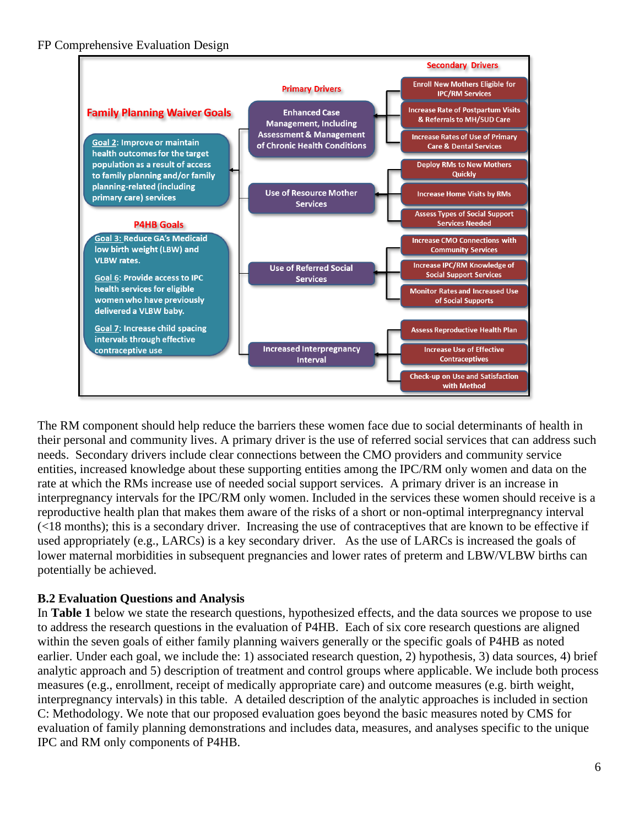

The RM component should help reduce the barriers these women face due to social determinants of health in their personal and community lives. A primary driver is the use of referred social services that can address such needs. Secondary drivers include clear connections between the CMO providers and community service entities, increased knowledge about these supporting entities among the IPC/RM only women and data on the rate at which the RMs increase use of needed social support services. A primary driver is an increase in interpregnancy intervals for the IPC/RM only women. Included in the services these women should receive is a reproductive health plan that makes them aware of the risks of a short or non-optimal interpregnancy interval (<18 months); this is a secondary driver. Increasing the use of contraceptives that are known to be effective if used appropriately (e.g., LARCs) is a key secondary driver. As the use of LARCs is increased the goals of lower maternal morbidities in subsequent pregnancies and lower rates of preterm and LBW/VLBW births can potentially be achieved.

# **B.2 Evaluation Questions and Analysis**

In **Table 1** below we state the research questions, hypothesized effects, and the data sources we propose to use to address the research questions in the evaluation of P4HB. Each of six core research questions are aligned within the seven goals of either family planning waivers generally or the specific goals of P4HB as noted earlier. Under each goal, we include the: 1) associated research question, 2) hypothesis, 3) data sources, 4) brief analytic approach and 5) description of treatment and control groups where applicable. We include both process measures (e.g., enrollment, receipt of medically appropriate care) and outcome measures (e.g. birth weight, interpregnancy intervals) in this table. A detailed description of the analytic approaches is included in section C: Methodology. We note that our proposed evaluation goes beyond the basic measures noted by CMS for evaluation of family planning demonstrations and includes data, measures, and analyses specific to the unique IPC and RM only components of P4HB.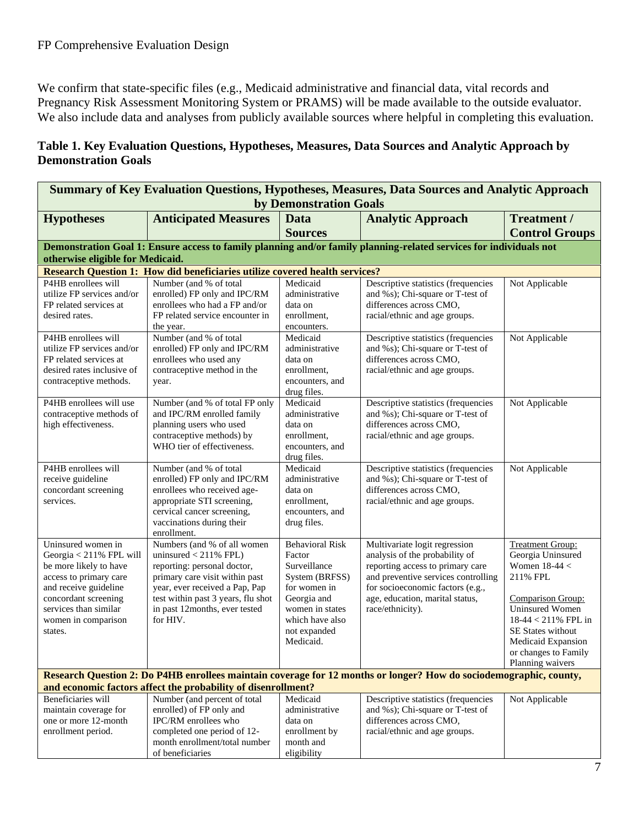We confirm that state-specific files (e.g., Medicaid administrative and financial data, vital records and Pregnancy Risk Assessment Monitoring System or PRAMS) will be made available to the outside evaluator. We also include data and analyses from publicly available sources where helpful in completing this evaluation.

# **Table 1. Key Evaluation Questions, Hypotheses, Measures, Data Sources and Analytic Approach by Demonstration Goals**

| <b>Summary of Key Evaluation Questions, Hypotheses, Measures, Data Sources and Analytic Approach</b>                                                                                                          |                                                                                                                                                                                                                                              |                                                                                                                                                                      |                                                                                                                                                                                                                                       |                                                                                                                                                                                                        |  |  |
|---------------------------------------------------------------------------------------------------------------------------------------------------------------------------------------------------------------|----------------------------------------------------------------------------------------------------------------------------------------------------------------------------------------------------------------------------------------------|----------------------------------------------------------------------------------------------------------------------------------------------------------------------|---------------------------------------------------------------------------------------------------------------------------------------------------------------------------------------------------------------------------------------|--------------------------------------------------------------------------------------------------------------------------------------------------------------------------------------------------------|--|--|
|                                                                                                                                                                                                               | by Demonstration Goals                                                                                                                                                                                                                       |                                                                                                                                                                      |                                                                                                                                                                                                                                       |                                                                                                                                                                                                        |  |  |
| <b>Hypotheses</b>                                                                                                                                                                                             | <b>Anticipated Measures</b>                                                                                                                                                                                                                  | <b>Data</b>                                                                                                                                                          | <b>Analytic Approach</b>                                                                                                                                                                                                              | Treatment /                                                                                                                                                                                            |  |  |
|                                                                                                                                                                                                               |                                                                                                                                                                                                                                              | <b>Sources</b>                                                                                                                                                       |                                                                                                                                                                                                                                       | <b>Control Groups</b>                                                                                                                                                                                  |  |  |
|                                                                                                                                                                                                               |                                                                                                                                                                                                                                              |                                                                                                                                                                      | Demonstration Goal 1: Ensure access to family planning and/or family planning-related services for individuals not                                                                                                                    |                                                                                                                                                                                                        |  |  |
| otherwise eligible for Medicaid.                                                                                                                                                                              |                                                                                                                                                                                                                                              |                                                                                                                                                                      |                                                                                                                                                                                                                                       |                                                                                                                                                                                                        |  |  |
|                                                                                                                                                                                                               | <b>Research Question 1: How did beneficiaries utilize covered health services?</b>                                                                                                                                                           |                                                                                                                                                                      |                                                                                                                                                                                                                                       |                                                                                                                                                                                                        |  |  |
| P4HB enrollees will<br>utilize FP services and/or<br>FP related services at                                                                                                                                   | Number (and % of total<br>enrolled) FP only and IPC/RM<br>enrollees who had a FP and/or                                                                                                                                                      | Medicaid<br>administrative<br>data on                                                                                                                                | Descriptive statistics (frequencies<br>and %s); Chi-square or T-test of<br>differences across CMO,                                                                                                                                    | Not Applicable                                                                                                                                                                                         |  |  |
| desired rates.                                                                                                                                                                                                | FP related service encounter in<br>the year.                                                                                                                                                                                                 | enrollment,<br>encounters.                                                                                                                                           | racial/ethnic and age groups.                                                                                                                                                                                                         |                                                                                                                                                                                                        |  |  |
| P4HB enrollees will<br>utilize FP services and/or<br>FP related services at<br>desired rates inclusive of<br>contraceptive methods.                                                                           | Number (and % of total<br>enrolled) FP only and IPC/RM<br>enrollees who used any<br>contraceptive method in the<br>year.                                                                                                                     | Medicaid<br>administrative<br>data on<br>enrollment,<br>encounters, and<br>drug files.                                                                               | Descriptive statistics (frequencies<br>and %s); Chi-square or T-test of<br>differences across CMO,<br>racial/ethnic and age groups.                                                                                                   | Not Applicable                                                                                                                                                                                         |  |  |
| P4HB enrollees will use<br>contraceptive methods of<br>high effectiveness.                                                                                                                                    | Number (and % of total FP only<br>and IPC/RM enrolled family<br>planning users who used<br>contraceptive methods) by<br>WHO tier of effectiveness.                                                                                           | Medicaid<br>administrative<br>data on<br>enrollment,<br>encounters, and<br>drug files.                                                                               | Descriptive statistics (frequencies<br>and %s); Chi-square or T-test of<br>differences across CMO,<br>racial/ethnic and age groups.                                                                                                   | Not Applicable                                                                                                                                                                                         |  |  |
| P4HB enrollees will<br>receive guideline<br>concordant screening<br>services.                                                                                                                                 | Number (and % of total<br>enrolled) FP only and IPC/RM<br>enrollees who received age-<br>appropriate STI screening,<br>cervical cancer screening,<br>vaccinations during their<br>enrollment.                                                | Medicaid<br>administrative<br>data on<br>enrollment,<br>encounters, and<br>drug files.                                                                               | Descriptive statistics (frequencies<br>and %s); Chi-square or T-test of<br>differences across CMO,<br>racial/ethnic and age groups.                                                                                                   | Not Applicable                                                                                                                                                                                         |  |  |
| Uninsured women in<br>Georgia < 211% FPL will<br>be more likely to have<br>access to primary care<br>and receive guideline<br>concordant screening<br>services than similar<br>women in comparison<br>states. | Numbers (and % of all women<br>uninsured $<$ 211% FPL)<br>reporting: personal doctor,<br>primary care visit within past<br>year, ever received a Pap, Pap<br>test within past 3 years, flu shot<br>in past 12months, ever tested<br>for HIV. | <b>Behavioral Risk</b><br>Factor<br>Surveillance<br>System (BRFSS)<br>for women in<br>Georgia and<br>women in states<br>which have also<br>not expanded<br>Medicaid. | Multivariate logit regression<br>analysis of the probability of<br>reporting access to primary care<br>and preventive services controlling<br>for socioeconomic factors (e.g.,<br>age, education, marital status,<br>race/ethnicity). | <b>Treatment Group:</b><br>Georgia Uninsured<br>Women $18-44 <$<br>211% FPL<br><b>Comparison Group:</b><br><b>Uninsured Women</b><br>$18-44 < 211\%$ FPL in<br>SE States without<br>Medicaid Expansion |  |  |
|                                                                                                                                                                                                               |                                                                                                                                                                                                                                              |                                                                                                                                                                      |                                                                                                                                                                                                                                       | or changes to Family<br>Planning waivers                                                                                                                                                               |  |  |
|                                                                                                                                                                                                               | and economic factors affect the probability of disenrollment?                                                                                                                                                                                |                                                                                                                                                                      | Research Question 2: Do P4HB enrollees maintain coverage for 12 months or longer? How do sociodemographic, county,                                                                                                                    |                                                                                                                                                                                                        |  |  |
| Beneficiaries will<br>maintain coverage for<br>one or more 12-month<br>enrollment period.                                                                                                                     | Number (and percent of total<br>enrolled) of FP only and<br>IPC/RM enrollees who<br>completed one period of 12-<br>month enrollment/total number<br>of beneficiaries                                                                         | Medicaid<br>administrative<br>data on<br>enrollment by<br>month and<br>eligibility                                                                                   | Descriptive statistics (frequencies<br>and %s); Chi-square or T-test of<br>differences across CMO,<br>racial/ethnic and age groups.                                                                                                   | Not Applicable                                                                                                                                                                                         |  |  |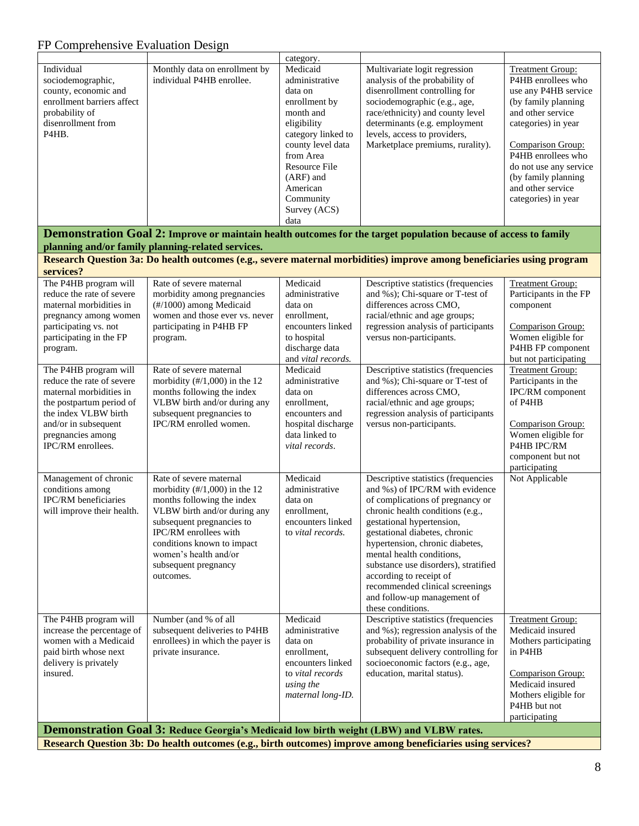|                                                                                                                                                                            |                                                                                                                                                                                                                                                                                     | category.                                                                                                                                                                                                                          |                                                                                                                                                                                                                                                                                                                                                                                                                                        |                                                                                                                                                                                                                                                                                  |
|----------------------------------------------------------------------------------------------------------------------------------------------------------------------------|-------------------------------------------------------------------------------------------------------------------------------------------------------------------------------------------------------------------------------------------------------------------------------------|------------------------------------------------------------------------------------------------------------------------------------------------------------------------------------------------------------------------------------|----------------------------------------------------------------------------------------------------------------------------------------------------------------------------------------------------------------------------------------------------------------------------------------------------------------------------------------------------------------------------------------------------------------------------------------|----------------------------------------------------------------------------------------------------------------------------------------------------------------------------------------------------------------------------------------------------------------------------------|
| Individual<br>sociodemographic,<br>county, economic and<br>enrollment barriers affect<br>probability of<br>disenrollment from<br>P4HB.                                     | Monthly data on enrollment by<br>individual P4HB enrollee.                                                                                                                                                                                                                          | Medicaid<br>administrative<br>data on<br>enrollment by<br>month and<br>eligibility<br>category linked to<br>county level data<br>from Area<br><b>Resource File</b><br>$(ARF)$ and<br>American<br>Community<br>Survey (ACS)<br>data | Multivariate logit regression<br>analysis of the probability of<br>disenrollment controlling for<br>sociodemographic (e.g., age,<br>race/ethnicity) and county level<br>determinants (e.g. employment<br>levels, access to providers,<br>Marketplace premiums, rurality).                                                                                                                                                              | <b>Treatment Group:</b><br>P4HB enrollees who<br>use any P4HB service<br>(by family planning<br>and other service<br>categories) in year<br>Comparison Group:<br>P4HB enrollees who<br>do not use any service<br>(by family planning<br>and other service<br>categories) in year |
|                                                                                                                                                                            |                                                                                                                                                                                                                                                                                     |                                                                                                                                                                                                                                    | Demonstration Goal 2: Improve or maintain health outcomes for the target population because of access to family                                                                                                                                                                                                                                                                                                                        |                                                                                                                                                                                                                                                                                  |
|                                                                                                                                                                            | planning and/or family planning-related services.                                                                                                                                                                                                                                   |                                                                                                                                                                                                                                    |                                                                                                                                                                                                                                                                                                                                                                                                                                        |                                                                                                                                                                                                                                                                                  |
|                                                                                                                                                                            |                                                                                                                                                                                                                                                                                     |                                                                                                                                                                                                                                    | Research Question 3a: Do health outcomes (e.g., severe maternal morbidities) improve among beneficiaries using program                                                                                                                                                                                                                                                                                                                 |                                                                                                                                                                                                                                                                                  |
| services?                                                                                                                                                                  | Rate of severe maternal                                                                                                                                                                                                                                                             | Medicaid                                                                                                                                                                                                                           |                                                                                                                                                                                                                                                                                                                                                                                                                                        |                                                                                                                                                                                                                                                                                  |
| The P4HB program will<br>reduce the rate of severe<br>maternal morbidities in<br>pregnancy among women<br>participating vs. not<br>participating in the FP<br>program.     | morbidity among pregnancies<br>(#/1000) among Medicaid<br>women and those ever vs. never<br>participating in P4HB FP<br>program.                                                                                                                                                    | administrative<br>data on<br>enrollment,<br>encounters linked<br>to hospital<br>discharge data<br>and vital records.                                                                                                               | Descriptive statistics (frequencies<br>and %s); Chi-square or T-test of<br>differences across CMO,<br>racial/ethnic and age groups;<br>regression analysis of participants<br>versus non-participants.                                                                                                                                                                                                                                 | <b>Treatment Group:</b><br>Participants in the FP<br>component<br>Comparison Group:<br>Women eligible for<br>P4HB FP component<br>but not participating                                                                                                                          |
| The P4HB program will                                                                                                                                                      | Rate of severe maternal                                                                                                                                                                                                                                                             | Medicaid                                                                                                                                                                                                                           | Descriptive statistics (frequencies                                                                                                                                                                                                                                                                                                                                                                                                    | <b>Treatment Group:</b>                                                                                                                                                                                                                                                          |
| reduce the rate of severe<br>maternal morbidities in<br>the postpartum period of<br>the index VLBW birth<br>and/or in subsequent<br>pregnancies among<br>IPC/RM enrollees. | morbidity $(\frac{\#}{1,000})$ in the 12<br>months following the index<br>VLBW birth and/or during any<br>subsequent pregnancies to<br>IPC/RM enrolled women.                                                                                                                       | administrative<br>data on<br>enrollment,<br>encounters and<br>hospital discharge<br>data linked to<br>vital records.                                                                                                               | and %s); Chi-square or T-test of<br>differences across CMO,<br>racial/ethnic and age groups;<br>regression analysis of participants<br>versus non-participants.                                                                                                                                                                                                                                                                        | Participants in the<br>IPC/RM component<br>of P4HB<br>Comparison Group:<br>Women eligible for<br>P4HB IPC/RM<br>component but not<br>participating                                                                                                                               |
| Management of chronic<br>conditions among<br>IPC/RM beneficiaries<br>will improve their health.                                                                            | Rate of severe maternal<br>morbidity $(\frac{\#}{1,000})$ in the 12<br>months following the index<br>VLBW birth and/or during any<br>subsequent pregnancies to<br>IPC/RM enrollees with<br>conditions known to impact<br>women's health and/or<br>subsequent pregnancy<br>outcomes. | Medicaid<br>administrative<br>data on<br>enrollment,<br>encounters linked<br>to vital records.                                                                                                                                     | Descriptive statistics (frequencies<br>and %s) of IPC/RM with evidence<br>of complications of pregnancy or<br>chronic health conditions (e.g.,<br>gestational hypertension,<br>gestational diabetes, chronic<br>hypertension, chronic diabetes,<br>mental health conditions,<br>substance use disorders), stratified<br>according to receipt of<br>recommended clinical screenings<br>and follow-up management of<br>these conditions. | Not Applicable                                                                                                                                                                                                                                                                   |
| The P4HB program will<br>increase the percentage of<br>women with a Medicaid<br>paid birth whose next<br>delivery is privately<br>insured.                                 | Number (and % of all<br>subsequent deliveries to P4HB<br>enrollees) in which the payer is<br>private insurance.                                                                                                                                                                     | Medicaid<br>administrative<br>data on<br>enrollment,<br>encounters linked<br>to vital records<br>using the<br>maternal long-ID.                                                                                                    | Descriptive statistics (frequencies<br>and %s); regression analysis of the<br>probability of private insurance in<br>subsequent delivery controlling for<br>socioeconomic factors (e.g., age,<br>education, marital status).                                                                                                                                                                                                           | <b>Treatment Group:</b><br>Medicaid insured<br>Mothers participating<br>in P4HB<br><b>Comparison Group:</b><br>Medicaid insured<br>Mothers eligible for<br>P4HB but not<br>participating                                                                                         |
|                                                                                                                                                                            | <b>Demonstration Goal 3: Reduce Georgia's Medicaid low birth weight (LBW) and VLBW rates.</b>                                                                                                                                                                                       |                                                                                                                                                                                                                                    | Research Question 3b: Do health outcomes (e.g., birth outcomes) improve among beneficiaries using services?                                                                                                                                                                                                                                                                                                                            |                                                                                                                                                                                                                                                                                  |
|                                                                                                                                                                            |                                                                                                                                                                                                                                                                                     |                                                                                                                                                                                                                                    |                                                                                                                                                                                                                                                                                                                                                                                                                                        |                                                                                                                                                                                                                                                                                  |

8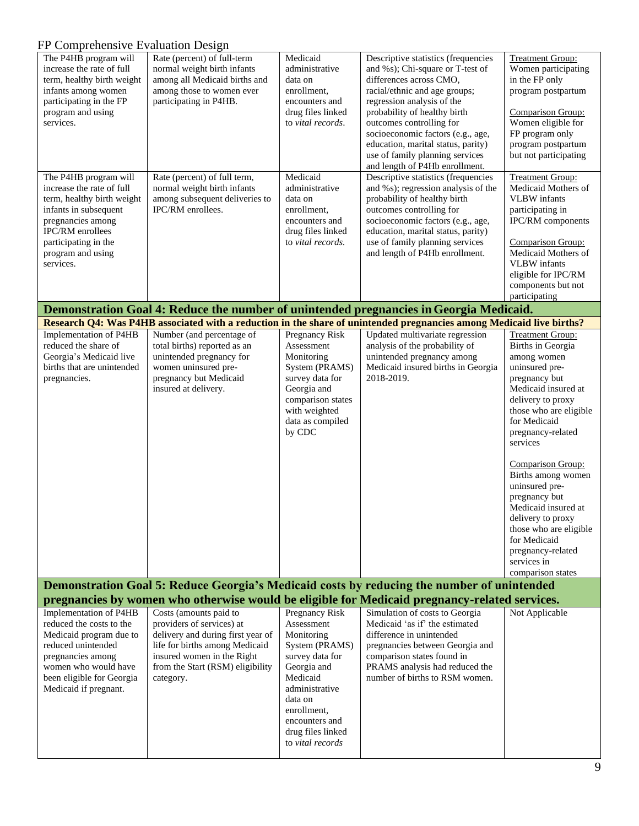| $\mathbf{r}$ $\mathbf{r}$ comprehensive Evaluation Design<br>The P4HB program will<br>increase the rate of full<br>term, healthy birth weight<br>infants among women<br>participating in the FP<br>program and using<br>services.<br>The P4HB program will<br>increase the rate of full<br>term, healthy birth weight<br>infants in subsequent<br>pregnancies among<br>IPC/RM enrollees<br>participating in the<br>program and using<br>services. | Rate (percent) of full-term<br>normal weight birth infants<br>among all Medicaid births and<br>among those to women ever<br>participating in P4HB.<br>Rate (percent) of full term,<br>normal weight birth infants<br>among subsequent deliveries to<br>IPC/RM enrollees. | Medicaid<br>administrative<br>data on<br>enrollment,<br>encounters and<br>drug files linked<br>to vital records.<br>Medicaid<br>administrative<br>data on<br>enrollment,<br>encounters and<br>drug files linked<br>to vital records. | Descriptive statistics (frequencies<br>and %s); Chi-square or T-test of<br>differences across CMO,<br>racial/ethnic and age groups;<br>regression analysis of the<br>probability of healthy birth<br>outcomes controlling for<br>socioeconomic factors (e.g., age,<br>education, marital status, parity)<br>use of family planning services<br>and length of P4Hb enrollment.<br>Descriptive statistics (frequencies<br>and %s); regression analysis of the<br>probability of healthy birth<br>outcomes controlling for<br>socioeconomic factors (e.g., age,<br>education, marital status, parity)<br>use of family planning services<br>and length of P4Hb enrollment. | <b>Treatment Group:</b><br>Women participating<br>in the FP only<br>program postpartum<br>Comparison Group:<br>Women eligible for<br>FP program only<br>program postpartum<br>but not participating<br><b>Treatment Group:</b><br>Medicaid Mothers of<br><b>VLBW</b> infants<br>participating in<br>IPC/RM components<br><b>Comparison Group:</b><br>Medicaid Mothers of<br><b>VLBW</b> infants<br>eligible for IPC/RM                             |
|---------------------------------------------------------------------------------------------------------------------------------------------------------------------------------------------------------------------------------------------------------------------------------------------------------------------------------------------------------------------------------------------------------------------------------------------------|--------------------------------------------------------------------------------------------------------------------------------------------------------------------------------------------------------------------------------------------------------------------------|--------------------------------------------------------------------------------------------------------------------------------------------------------------------------------------------------------------------------------------|-------------------------------------------------------------------------------------------------------------------------------------------------------------------------------------------------------------------------------------------------------------------------------------------------------------------------------------------------------------------------------------------------------------------------------------------------------------------------------------------------------------------------------------------------------------------------------------------------------------------------------------------------------------------------|----------------------------------------------------------------------------------------------------------------------------------------------------------------------------------------------------------------------------------------------------------------------------------------------------------------------------------------------------------------------------------------------------------------------------------------------------|
|                                                                                                                                                                                                                                                                                                                                                                                                                                                   |                                                                                                                                                                                                                                                                          |                                                                                                                                                                                                                                      |                                                                                                                                                                                                                                                                                                                                                                                                                                                                                                                                                                                                                                                                         | components but not<br>participating                                                                                                                                                                                                                                                                                                                                                                                                                |
|                                                                                                                                                                                                                                                                                                                                                                                                                                                   |                                                                                                                                                                                                                                                                          |                                                                                                                                                                                                                                      | Demonstration Goal 4: Reduce the number of unintended pregnancies in Georgia Medicaid.                                                                                                                                                                                                                                                                                                                                                                                                                                                                                                                                                                                  |                                                                                                                                                                                                                                                                                                                                                                                                                                                    |
|                                                                                                                                                                                                                                                                                                                                                                                                                                                   |                                                                                                                                                                                                                                                                          |                                                                                                                                                                                                                                      | Research Q4: Was P4HB associated with a reduction in the share of unintended pregnancies among Medicaid live births?                                                                                                                                                                                                                                                                                                                                                                                                                                                                                                                                                    |                                                                                                                                                                                                                                                                                                                                                                                                                                                    |
| Implementation of P4HB<br>reduced the share of<br>Georgia's Medicaid live<br>births that are unintended<br>pregnancies.                                                                                                                                                                                                                                                                                                                           | Number (and percentage of<br>total births) reported as an<br>unintended pregnancy for<br>women uninsured pre-<br>pregnancy but Medicaid<br>insured at delivery.                                                                                                          | Pregnancy Risk<br>Assessment<br>Monitoring<br>System (PRAMS)<br>survey data for<br>Georgia and<br>comparison states<br>with weighted<br>data as compiled<br>by CDC                                                                   | Updated multivariate regression<br>analysis of the probability of<br>unintended pregnancy among<br>Medicaid insured births in Georgia<br>2018-2019.                                                                                                                                                                                                                                                                                                                                                                                                                                                                                                                     | <b>Treatment Group:</b><br>Births in Georgia<br>among women<br>uninsured pre-<br>pregnancy but<br>Medicaid insured at<br>delivery to proxy<br>those who are eligible<br>for Medicaid<br>pregnancy-related<br>services<br>Comparison Group:<br>Births among women<br>uninsured pre-<br>pregnancy but<br>Medicaid insured at<br>delivery to proxy<br>those who are eligible<br>for Medicaid<br>pregnancy-related<br>services in<br>comparison states |
|                                                                                                                                                                                                                                                                                                                                                                                                                                                   |                                                                                                                                                                                                                                                                          |                                                                                                                                                                                                                                      | Demonstration Goal 5: Reduce Georgia's Medicaid costs by reducing the number of unintended                                                                                                                                                                                                                                                                                                                                                                                                                                                                                                                                                                              |                                                                                                                                                                                                                                                                                                                                                                                                                                                    |
|                                                                                                                                                                                                                                                                                                                                                                                                                                                   |                                                                                                                                                                                                                                                                          |                                                                                                                                                                                                                                      | pregnancies by women who otherwise would be eligible for Medicaid pregnancy-related services.                                                                                                                                                                                                                                                                                                                                                                                                                                                                                                                                                                           |                                                                                                                                                                                                                                                                                                                                                                                                                                                    |
| Implementation of P4HB<br>reduced the costs to the<br>Medicaid program due to<br>reduced unintended<br>pregnancies among<br>women who would have<br>been eligible for Georgia<br>Medicaid if pregnant.                                                                                                                                                                                                                                            | Costs (amounts paid to<br>providers of services) at<br>delivery and during first year of<br>life for births among Medicaid<br>insured women in the Right<br>from the Start (RSM) eligibility<br>category.                                                                | Pregnancy Risk<br>Assessment<br>Monitoring<br>System (PRAMS)<br>survey data for<br>Georgia and<br>Medicaid<br>administrative<br>data on<br>enrollment,<br>encounters and<br>drug files linked<br>to vital records                    | Simulation of costs to Georgia<br>Medicaid 'as if' the estimated<br>difference in unintended<br>pregnancies between Georgia and<br>comparison states found in<br>PRAMS analysis had reduced the<br>number of births to RSM women.                                                                                                                                                                                                                                                                                                                                                                                                                                       | Not Applicable                                                                                                                                                                                                                                                                                                                                                                                                                                     |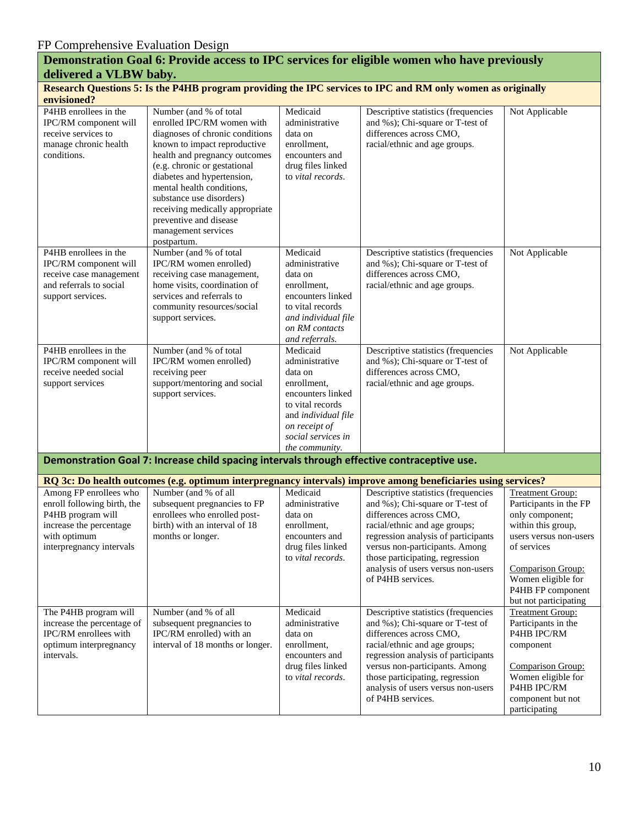| delivered a VLBW baby.                                                                                                                            |                                                                                                                                                                                                                                                                                                                                                                                    |                                                                                                                                                                                      | Demonstration Goal 6: Provide access to IPC services for eligible women who have previously                                                                                                                                                                                                                |                                                                                                                                                                                                                              |  |  |
|---------------------------------------------------------------------------------------------------------------------------------------------------|------------------------------------------------------------------------------------------------------------------------------------------------------------------------------------------------------------------------------------------------------------------------------------------------------------------------------------------------------------------------------------|--------------------------------------------------------------------------------------------------------------------------------------------------------------------------------------|------------------------------------------------------------------------------------------------------------------------------------------------------------------------------------------------------------------------------------------------------------------------------------------------------------|------------------------------------------------------------------------------------------------------------------------------------------------------------------------------------------------------------------------------|--|--|
| Research Questions 5: Is the P4HB program providing the IPC services to IPC and RM only women as originally<br>envisioned?                        |                                                                                                                                                                                                                                                                                                                                                                                    |                                                                                                                                                                                      |                                                                                                                                                                                                                                                                                                            |                                                                                                                                                                                                                              |  |  |
| P4HB enrollees in the<br>IPC/RM component will<br>receive services to<br>manage chronic health<br>conditions.                                     | Number (and % of total<br>enrolled IPC/RM women with<br>diagnoses of chronic conditions<br>known to impact reproductive<br>health and pregnancy outcomes<br>(e.g. chronic or gestational<br>diabetes and hypertension,<br>mental health conditions,<br>substance use disorders)<br>receiving medically appropriate<br>preventive and disease<br>management services<br>postpartum. | Medicaid<br>administrative<br>data on<br>enrollment,<br>encounters and<br>drug files linked<br>to vital records.                                                                     | Descriptive statistics (frequencies<br>and %s); Chi-square or T-test of<br>differences across CMO,<br>racial/ethnic and age groups.                                                                                                                                                                        | Not Applicable                                                                                                                                                                                                               |  |  |
| P4HB enrollees in the<br>IPC/RM component will<br>receive case management<br>and referrals to social<br>support services.                         | Number (and % of total<br>IPC/RM women enrolled)<br>receiving case management,<br>home visits, coordination of<br>services and referrals to<br>community resources/social<br>support services.                                                                                                                                                                                     | Medicaid<br>administrative<br>data on<br>enrollment,<br>encounters linked<br>to vital records<br>and individual file<br>on RM contacts<br>and referrals.                             | Descriptive statistics (frequencies<br>and %s); Chi-square or T-test of<br>differences across CMO,<br>racial/ethnic and age groups.                                                                                                                                                                        | Not Applicable                                                                                                                                                                                                               |  |  |
| P4HB enrollees in the<br>IPC/RM component will<br>receive needed social<br>support services                                                       | Number (and % of total<br>IPC/RM women enrolled)<br>receiving peer<br>support/mentoring and social<br>support services.                                                                                                                                                                                                                                                            | Medicaid<br>administrative<br>data on<br>enrollment,<br>encounters linked<br>to vital records<br>and <i>individual</i> file<br>on receipt of<br>social services in<br>the community. | Descriptive statistics (frequencies<br>and %s); Chi-square or T-test of<br>differences across CMO,<br>racial/ethnic and age groups.                                                                                                                                                                        | Not Applicable                                                                                                                                                                                                               |  |  |
|                                                                                                                                                   | Demonstration Goal 7: Increase child spacing intervals through effective contraceptive use.                                                                                                                                                                                                                                                                                        |                                                                                                                                                                                      |                                                                                                                                                                                                                                                                                                            |                                                                                                                                                                                                                              |  |  |
|                                                                                                                                                   |                                                                                                                                                                                                                                                                                                                                                                                    |                                                                                                                                                                                      | RQ 3c: Do health outcomes (e.g. optimum interpregnancy intervals) improve among beneficiaries using services?                                                                                                                                                                                              |                                                                                                                                                                                                                              |  |  |
| Among FP enrollees who<br>enroll following birth, the<br>P4HB program will<br>increase the percentage<br>with optimum<br>interpregnancy intervals | Number (and % of all<br>subsequent pregnancies to FP<br>enrollees who enrolled post-<br>birth) with an interval of 18<br>months or longer.                                                                                                                                                                                                                                         | Medicaid<br>administrative<br>data on<br>enrollment,<br>encounters and<br>drug files linked<br>to vital records.                                                                     | Descriptive statistics (frequencies<br>and %s); Chi-square or T-test of<br>differences across CMO,<br>racial/ethnic and age groups;<br>regression analysis of participants<br>versus non-participants. Among<br>those participating, regression<br>analysis of users versus non-users<br>of P4HB services. | <b>Treatment Group:</b><br>Participants in the FP<br>only component;<br>within this group,<br>users versus non-users<br>of services<br>Comparison Group:<br>Women eligible for<br>P4HB FP component<br>but not participating |  |  |
| The P4HB program will<br>increase the percentage of<br>IPC/RM enrollees with<br>optimum interpregnancy<br>intervals.                              | Number (and % of all<br>subsequent pregnancies to<br>IPC/RM enrolled) with an<br>interval of 18 months or longer.                                                                                                                                                                                                                                                                  | Medicaid<br>administrative<br>data on<br>enrollment,<br>encounters and<br>drug files linked<br>to vital records.                                                                     | Descriptive statistics (frequencies<br>and %s); Chi-square or T-test of<br>differences across CMO,<br>racial/ethnic and age groups;<br>regression analysis of participants<br>versus non-participants. Among<br>those participating, regression<br>analysis of users versus non-users<br>of P4HB services. | <b>Treatment Group:</b><br>Participants in the<br>P4HB IPC/RM<br>component<br>Comparison Group:<br>Women eligible for<br>P4HB IPC/RM<br>component but not<br>participating                                                   |  |  |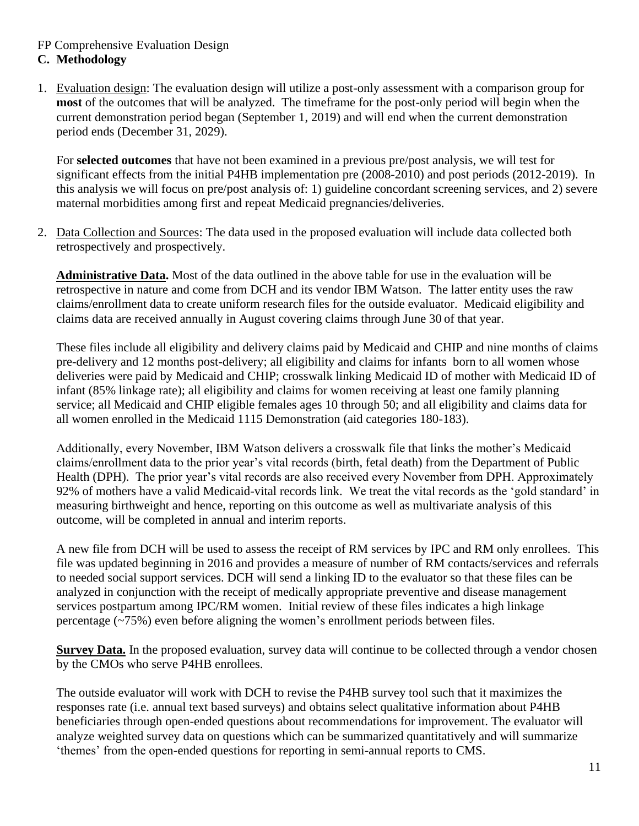### FP Comprehensive Evaluation Design **C. Methodology**

1. Evaluation design: The evaluation design will utilize a post-only assessment with a comparison group for **most** of the outcomes that will be analyzed. The timeframe for the post-only period will begin when the current demonstration period began (September 1, 2019) and will end when the current demonstration period ends (December 31, 2029).

For **selected outcomes** that have not been examined in a previous pre/post analysis, we will test for significant effects from the initial P4HB implementation pre (2008-2010) and post periods (2012-2019). In this analysis we will focus on pre/post analysis of: 1) guideline concordant screening services, and 2) severe maternal morbidities among first and repeat Medicaid pregnancies/deliveries.

2. Data Collection and Sources: The data used in the proposed evaluation will include data collected both retrospectively and prospectively.

**Administrative Data.** Most of the data outlined in the above table for use in the evaluation will be retrospective in nature and come from DCH and its vendor IBM Watson. The latter entity uses the raw claims/enrollment data to create uniform research files for the outside evaluator. Medicaid eligibility and claims data are received annually in August covering claims through June 30 of that year.

These files include all eligibility and delivery claims paid by Medicaid and CHIP and nine months of claims pre-delivery and 12 months post-delivery; all eligibility and claims for infants born to all women whose deliveries were paid by Medicaid and CHIP; crosswalk linking Medicaid ID of mother with Medicaid ID of infant (85% linkage rate); all eligibility and claims for women receiving at least one family planning service; all Medicaid and CHIP eligible females ages 10 through 50; and all eligibility and claims data for all women enrolled in the Medicaid 1115 Demonstration (aid categories 180-183).

Additionally, every November, IBM Watson delivers a crosswalk file that links the mother's Medicaid claims/enrollment data to the prior year's vital records (birth, fetal death) from the Department of Public Health (DPH). The prior year's vital records are also received every November from DPH. Approximately 92% of mothers have a valid Medicaid-vital records link. We treat the vital records as the 'gold standard' in measuring birthweight and hence, reporting on this outcome as well as multivariate analysis of this outcome, will be completed in annual and interim reports.

A new file from DCH will be used to assess the receipt of RM services by IPC and RM only enrollees. This file was updated beginning in 2016 and provides a measure of number of RM contacts/services and referrals to needed social support services. DCH will send a linking ID to the evaluator so that these files can be analyzed in conjunction with the receipt of medically appropriate preventive and disease management services postpartum among IPC/RM women. Initial review of these files indicates a high linkage percentage (~75%) even before aligning the women's enrollment periods between files.

**Survey Data.** In the proposed evaluation, survey data will continue to be collected through a vendor chosen by the CMOs who serve P4HB enrollees.

The outside evaluator will work with DCH to revise the P4HB survey tool such that it maximizes the responses rate (i.e. annual text based surveys) and obtains select qualitative information about P4HB beneficiaries through open-ended questions about recommendations for improvement. The evaluator will analyze weighted survey data on questions which can be summarized quantitatively and will summarize 'themes' from the open-ended questions for reporting in semi-annual reports to CMS.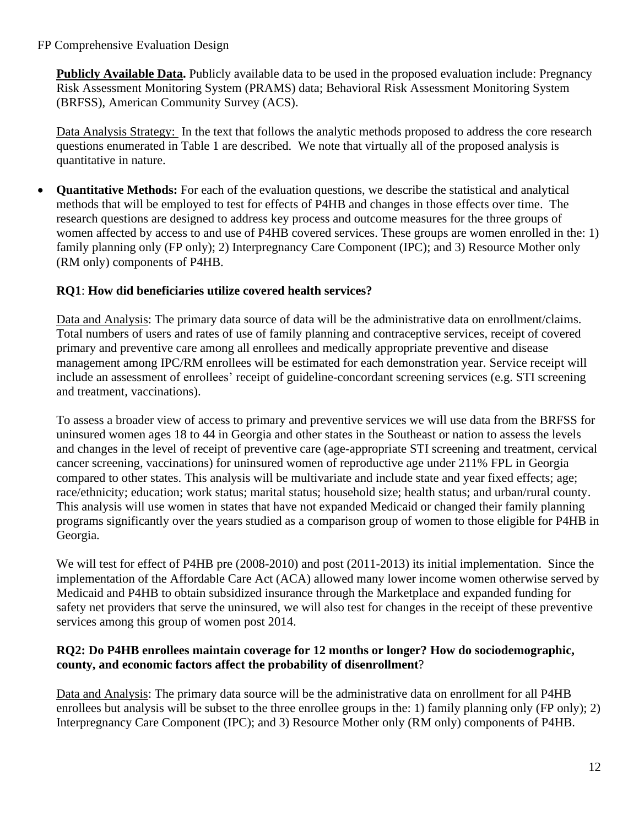**Publicly Available Data.** Publicly available data to be used in the proposed evaluation include: Pregnancy Risk Assessment Monitoring System (PRAMS) data; Behavioral Risk Assessment Monitoring System (BRFSS), American Community Survey (ACS).

Data Analysis Strategy: In the text that follows the analytic methods proposed to address the core research questions enumerated in Table 1 are described. We note that virtually all of the proposed analysis is quantitative in nature.

• **Quantitative Methods:** For each of the evaluation questions, we describe the statistical and analytical methods that will be employed to test for effects of P4HB and changes in those effects over time. The research questions are designed to address key process and outcome measures for the three groups of women affected by access to and use of P4HB covered services. These groups are women enrolled in the: 1) family planning only (FP only); 2) Interpregnancy Care Component (IPC); and 3) Resource Mother only (RM only) components of P4HB.

# **RQ1**: **How did beneficiaries utilize covered health services?**

Data and Analysis: The primary data source of data will be the administrative data on enrollment/claims. Total numbers of users and rates of use of family planning and contraceptive services, receipt of covered primary and preventive care among all enrollees and medically appropriate preventive and disease management among IPC/RM enrollees will be estimated for each demonstration year. Service receipt will include an assessment of enrollees' receipt of guideline-concordant screening services (e.g. STI screening and treatment, vaccinations).

To assess a broader view of access to primary and preventive services we will use data from the BRFSS for uninsured women ages 18 to 44 in Georgia and other states in the Southeast or nation to assess the levels and changes in the level of receipt of preventive care (age-appropriate STI screening and treatment, cervical cancer screening, vaccinations) for uninsured women of reproductive age under 211% FPL in Georgia compared to other states. This analysis will be multivariate and include state and year fixed effects; age; race/ethnicity; education; work status; marital status; household size; health status; and urban/rural county. This analysis will use women in states that have not expanded Medicaid or changed their family planning programs significantly over the years studied as a comparison group of women to those eligible for P4HB in Georgia.

We will test for effect of P4HB pre (2008-2010) and post (2011-2013) its initial implementation. Since the implementation of the Affordable Care Act (ACA) allowed many lower income women otherwise served by Medicaid and P4HB to obtain subsidized insurance through the Marketplace and expanded funding for safety net providers that serve the uninsured, we will also test for changes in the receipt of these preventive services among this group of women post 2014.

### **RQ2: Do P4HB enrollees maintain coverage for 12 months or longer? How do sociodemographic, county, and economic factors affect the probability of disenrollment**?

Data and Analysis: The primary data source will be the administrative data on enrollment for all P4HB enrollees but analysis will be subset to the three enrollee groups in the: 1) family planning only (FP only); 2) Interpregnancy Care Component (IPC); and 3) Resource Mother only (RM only) components of P4HB.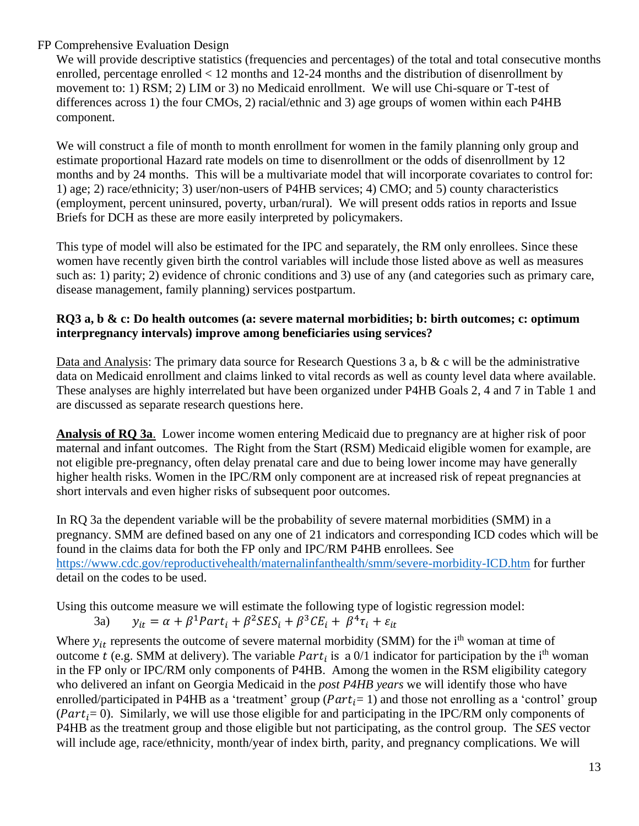We will provide descriptive statistics (frequencies and percentages) of the total and total consecutive months enrolled, percentage enrolled < 12 months and 12-24 months and the distribution of disenrollment by movement to: 1) RSM; 2) LIM or 3) no Medicaid enrollment. We will use Chi-square or T-test of differences across 1) the four CMOs, 2) racial/ethnic and 3) age groups of women within each P4HB component.

We will construct a file of month to month enrollment for women in the family planning only group and estimate proportional Hazard rate models on time to disenrollment or the odds of disenrollment by 12 months and by 24 months. This will be a multivariate model that will incorporate covariates to control for: 1) age; 2) race/ethnicity; 3) user/non-users of P4HB services; 4) CMO; and 5) county characteristics (employment, percent uninsured, poverty, urban/rural). We will present odds ratios in reports and Issue Briefs for DCH as these are more easily interpreted by policymakers.

This type of model will also be estimated for the IPC and separately, the RM only enrollees. Since these women have recently given birth the control variables will include those listed above as well as measures such as: 1) parity; 2) evidence of chronic conditions and 3) use of any (and categories such as primary care, disease management, family planning) services postpartum.

### **RQ3 a, b & c: Do health outcomes (a: severe maternal morbidities; b: birth outcomes; c: optimum interpregnancy intervals) improve among beneficiaries using services?**

Data and Analysis: The primary data source for Research Questions 3 a, b & c will be the administrative data on Medicaid enrollment and claims linked to vital records as well as county level data where available. These analyses are highly interrelated but have been organized under P4HB Goals 2, 4 and 7 in Table 1 and are discussed as separate research questions here.

**Analysis of RQ 3a**. Lower income women entering Medicaid due to pregnancy are at higher risk of poor maternal and infant outcomes. The Right from the Start (RSM) Medicaid eligible women for example, are not eligible pre-pregnancy, often delay prenatal care and due to being lower income may have generally higher health risks. Women in the IPC/RM only component are at increased risk of repeat pregnancies at short intervals and even higher risks of subsequent poor outcomes.

In RQ 3a the dependent variable will be the probability of severe maternal morbidities (SMM) in a pregnancy. SMM are defined based on any one of 21 indicators and corresponding ICD codes which will be found in the claims data for both the FP only and IPC/RM P4HB enrollees. See <https://www.cdc.gov/reproductivehealth/maternalinfanthealth/smm/severe-morbidity-ICD.htm> for further detail on the codes to be used.

Using this outcome measure we will estimate the following type of logistic regression model:

3a) 
$$
y_{it} = \alpha + \beta^1 Part_i + \beta^2 SES_i + \beta^3 CE_i + \beta^4 \tau_i + \varepsilon_{it}
$$

Where  $y_{it}$  represents the outcome of severe maternal morbidity (SMM) for the i<sup>th</sup> woman at time of outcome t (e.g. SMM at delivery). The variable  $Part_i$  is a 0/1 indicator for participation by the i<sup>th</sup> woman in the FP only or IPC/RM only components of P4HB. Among the women in the RSM eligibility category who delivered an infant on Georgia Medicaid in the *post P4HB years* we will identify those who have enrolled/participated in P4HB as a 'treatment' group ( $Part_i = 1$ ) and those not enrolling as a 'control' group ( $Part_i = 0$ ). Similarly, we will use those eligible for and participating in the IPC/RM only components of P4HB as the treatment group and those eligible but not participating, as the control group. The *SES* vector will include age, race/ethnicity, month/year of index birth, parity, and pregnancy complications. We will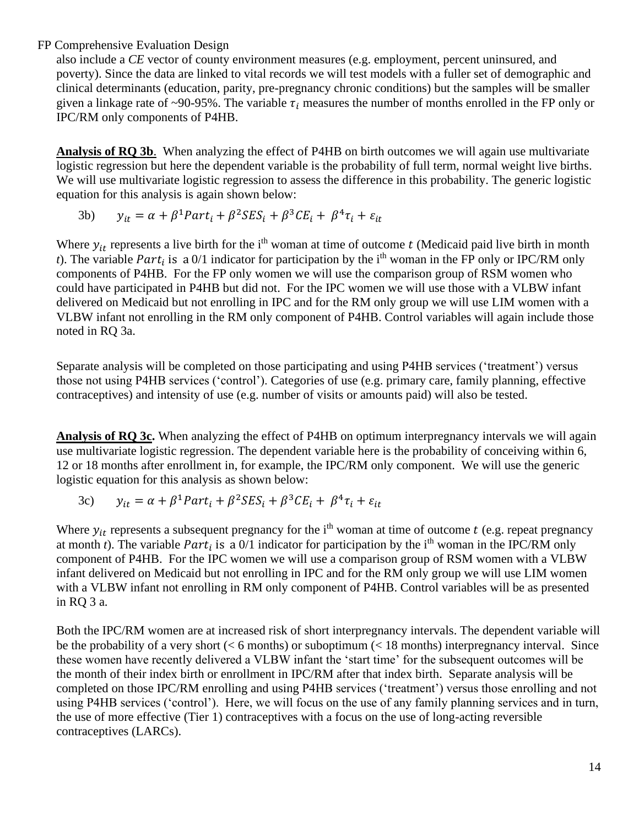also include a *CE* vector of county environment measures (e.g. employment, percent uninsured, and poverty). Since the data are linked to vital records we will test models with a fuller set of demographic and clinical determinants (education, parity, pre-pregnancy chronic conditions) but the samples will be smaller given a linkage rate of ~90-95%. The variable  $\tau_i$  measures the number of months enrolled in the FP only or IPC/RM only components of P4HB.

**Analysis of RQ 3b**. When analyzing the effect of P4HB on birth outcomes we will again use multivariate logistic regression but here the dependent variable is the probability of full term, normal weight live births. We will use multivariate logistic regression to assess the difference in this probability. The generic logistic equation for this analysis is again shown below:

3b) 
$$
y_{it} = \alpha + \beta^1 Part_i + \beta^2 SES_i + \beta^3 CE_i + \beta^4 \tau_i + \varepsilon_{it}
$$

Where  $y_{it}$  represents a live birth for the i<sup>th</sup> woman at time of outcome t (Medicaid paid live birth in month *t*). The variable *Part<sub>i</sub>* is a 0/1 indicator for participation by the i<sup>th</sup> woman in the FP only or IPC/RM only components of P4HB. For the FP only women we will use the comparison group of RSM women who could have participated in P4HB but did not. For the IPC women we will use those with a VLBW infant delivered on Medicaid but not enrolling in IPC and for the RM only group we will use LIM women with a VLBW infant not enrolling in the RM only component of P4HB. Control variables will again include those noted in RQ 3a.

Separate analysis will be completed on those participating and using P4HB services ('treatment') versus those not using P4HB services ('control'). Categories of use (e.g. primary care, family planning, effective contraceptives) and intensity of use (e.g. number of visits or amounts paid) will also be tested.

**Analysis of RQ 3c.** When analyzing the effect of P4HB on optimum interpregnancy intervals we will again use multivariate logistic regression. The dependent variable here is the probability of conceiving within 6, 12 or 18 months after enrollment in, for example, the IPC/RM only component. We will use the generic logistic equation for this analysis as shown below:

3c) 
$$
y_{it} = \alpha + \beta^1 Part_i + \beta^2 SES_i + \beta^3 CE_i + \beta^4 \tau_i + \varepsilon_{it}
$$

Where  $y_{it}$  represents a subsequent pregnancy for the i<sup>th</sup> woman at time of outcome t (e.g. repeat pregnancy at month *t*). The variable *Part<sub>i</sub>* is a 0/1 indicator for participation by the i<sup>th</sup> woman in the IPC/RM only component of P4HB. For the IPC women we will use a comparison group of RSM women with a VLBW infant delivered on Medicaid but not enrolling in IPC and for the RM only group we will use LIM women with a VLBW infant not enrolling in RM only component of P4HB. Control variables will be as presented in RQ 3 a.

Both the IPC/RM women are at increased risk of short interpregnancy intervals. The dependent variable will be the probability of a very short ( $\lt 6$  months) or suboptimum ( $\lt 18$  months) interpregnancy interval. Since these women have recently delivered a VLBW infant the 'start time' for the subsequent outcomes will be the month of their index birth or enrollment in IPC/RM after that index birth. Separate analysis will be completed on those IPC/RM enrolling and using P4HB services ('treatment') versus those enrolling and not using P4HB services ('control'). Here, we will focus on the use of any family planning services and in turn, the use of more effective (Tier 1) contraceptives with a focus on the use of long-acting reversible contraceptives (LARCs).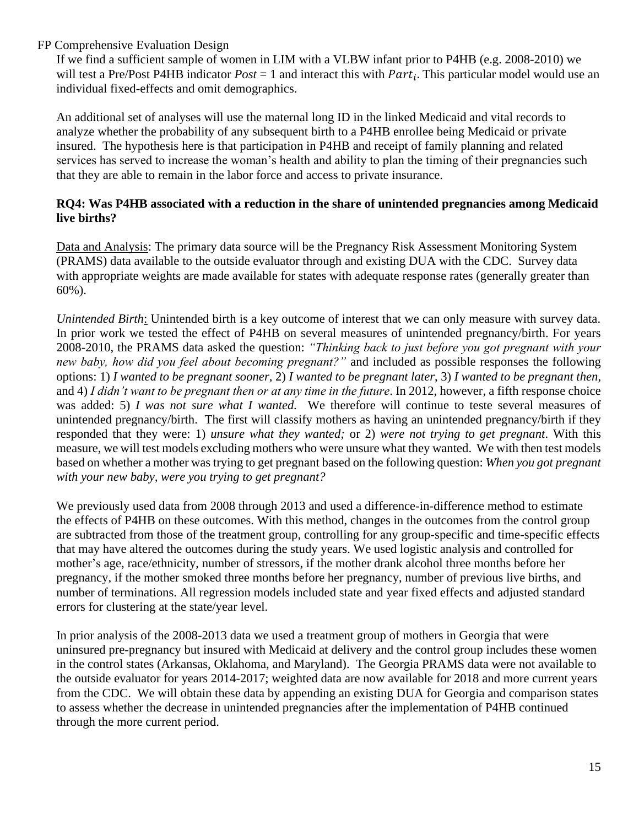If we find a sufficient sample of women in LIM with a VLBW infant prior to P4HB (e.g. 2008-2010) we will test a Pre/Post P4HB indicator  $Post = 1$  and interact this with  $Part<sub>i</sub>$ . This particular model would use an individual fixed-effects and omit demographics.

An additional set of analyses will use the maternal long ID in the linked Medicaid and vital records to analyze whether the probability of any subsequent birth to a P4HB enrollee being Medicaid or private insured. The hypothesis here is that participation in P4HB and receipt of family planning and related services has served to increase the woman's health and ability to plan the timing of their pregnancies such that they are able to remain in the labor force and access to private insurance.

### **RQ4: Was P4HB associated with a reduction in the share of unintended pregnancies among Medicaid live births?**

Data and Analysis: The primary data source will be the Pregnancy Risk Assessment Monitoring System (PRAMS) data available to the outside evaluator through and existing DUA with the CDC. Survey data with appropriate weights are made available for states with adequate response rates (generally greater than 60%).

*Unintended Birth*: Unintended birth is a key outcome of interest that we can only measure with survey data. In prior work we tested the effect of P4HB on several measures of unintended pregnancy/birth. For years 2008-2010, the PRAMS data asked the question: *"Thinking back to just before you got pregnant with your new baby, how did you feel about becoming pregnant?"* and included as possible responses the following options: 1) *I wanted to be pregnant sooner*, 2) *I wanted to be pregnant later*, 3) *I wanted to be pregnant then*, and 4) *I didn't want to be pregnant then or at any time in the future*. In 2012, however, a fifth response choice was added: 5) *I was not sure what I wanted.* We therefore will continue to teste several measures of unintended pregnancy/birth. The first will classify mothers as having an unintended pregnancy/birth if they responded that they were: 1) *unsure what they wanted;* or 2) *were not trying to get pregnant*. With this measure, we will test models excluding mothers who were unsure what they wanted. We with then test models based on whether a mother was trying to get pregnant based on the following question: *When you got pregnant with your new baby, were you trying to get pregnant?*

We previously used data from 2008 through 2013 and used a difference-in-difference method to estimate the effects of P4HB on these outcomes. With this method, changes in the outcomes from the control group are subtracted from those of the treatment group, controlling for any group-specific and time-specific effects that may have altered the outcomes during the study years. We used logistic analysis and controlled for mother's age, race/ethnicity, number of stressors, if the mother drank alcohol three months before her pregnancy, if the mother smoked three months before her pregnancy, number of previous live births, and number of terminations. All regression models included state and year fixed effects and adjusted standard errors for clustering at the state/year level.

In prior analysis of the 2008-2013 data we used a treatment group of mothers in Georgia that were uninsured pre-pregnancy but insured with Medicaid at delivery and the control group includes these women in the control states (Arkansas, Oklahoma, and Maryland). The Georgia PRAMS data were not available to the outside evaluator for years 2014-2017; weighted data are now available for 2018 and more current years from the CDC. We will obtain these data by appending an existing DUA for Georgia and comparison states to assess whether the decrease in unintended pregnancies after the implementation of P4HB continued through the more current period.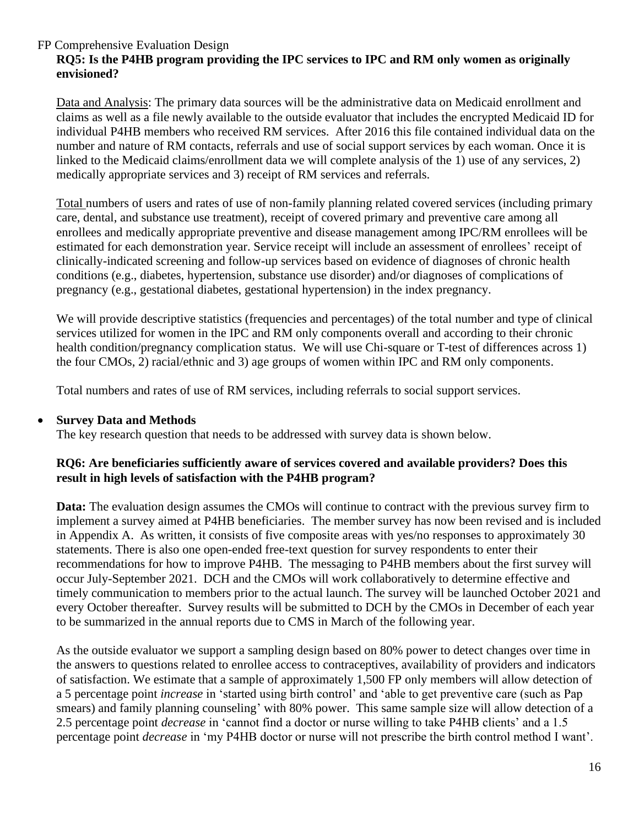# **RQ5: Is the P4HB program providing the IPC services to IPC and RM only women as originally envisioned?**

Data and Analysis: The primary data sources will be the administrative data on Medicaid enrollment and claims as well as a file newly available to the outside evaluator that includes the encrypted Medicaid ID for individual P4HB members who received RM services. After 2016 this file contained individual data on the number and nature of RM contacts, referrals and use of social support services by each woman. Once it is linked to the Medicaid claims/enrollment data we will complete analysis of the 1) use of any services, 2) medically appropriate services and 3) receipt of RM services and referrals.

Total numbers of users and rates of use of non-family planning related covered services (including primary care, dental, and substance use treatment), receipt of covered primary and preventive care among all enrollees and medically appropriate preventive and disease management among IPC/RM enrollees will be estimated for each demonstration year. Service receipt will include an assessment of enrollees' receipt of clinically-indicated screening and follow-up services based on evidence of diagnoses of chronic health conditions (e.g., diabetes, hypertension, substance use disorder) and/or diagnoses of complications of pregnancy (e.g., gestational diabetes, gestational hypertension) in the index pregnancy.

We will provide descriptive statistics (frequencies and percentages) of the total number and type of clinical services utilized for women in the IPC and RM only components overall and according to their chronic health condition/pregnancy complication status. We will use Chi-square or T-test of differences across 1) the four CMOs, 2) racial/ethnic and 3) age groups of women within IPC and RM only components.

Total numbers and rates of use of RM services, including referrals to social support services.

### • **Survey Data and Methods**

The key research question that needs to be addressed with survey data is shown below.

#### **RQ6: Are beneficiaries sufficiently aware of services covered and available providers? Does this result in high levels of satisfaction with the P4HB program?**

**Data:** The evaluation design assumes the CMOs will continue to contract with the previous survey firm to implement a survey aimed at P4HB beneficiaries. The member survey has now been revised and is included in Appendix A. As written, it consists of five composite areas with yes/no responses to approximately 30 statements. There is also one open-ended free-text question for survey respondents to enter their recommendations for how to improve P4HB. The messaging to P4HB members about the first survey will occur July-September 2021. DCH and the CMOs will work collaboratively to determine effective and timely communication to members prior to the actual launch. The survey will be launched October 2021 and every October thereafter. Survey results will be submitted to DCH by the CMOs in December of each year to be summarized in the annual reports due to CMS in March of the following year.

As the outside evaluator we support a sampling design based on 80% power to detect changes over time in the answers to questions related to enrollee access to contraceptives, availability of providers and indicators of satisfaction. We estimate that a sample of approximately 1,500 FP only members will allow detection of a 5 percentage point *increase* in 'started using birth control' and 'able to get preventive care (such as Pap smears) and family planning counseling' with 80% power. This same sample size will allow detection of a 2.5 percentage point *decrease* in 'cannot find a doctor or nurse willing to take P4HB clients' and a 1.5 percentage point *decrease* in 'my P4HB doctor or nurse will not prescribe the birth control method I want'.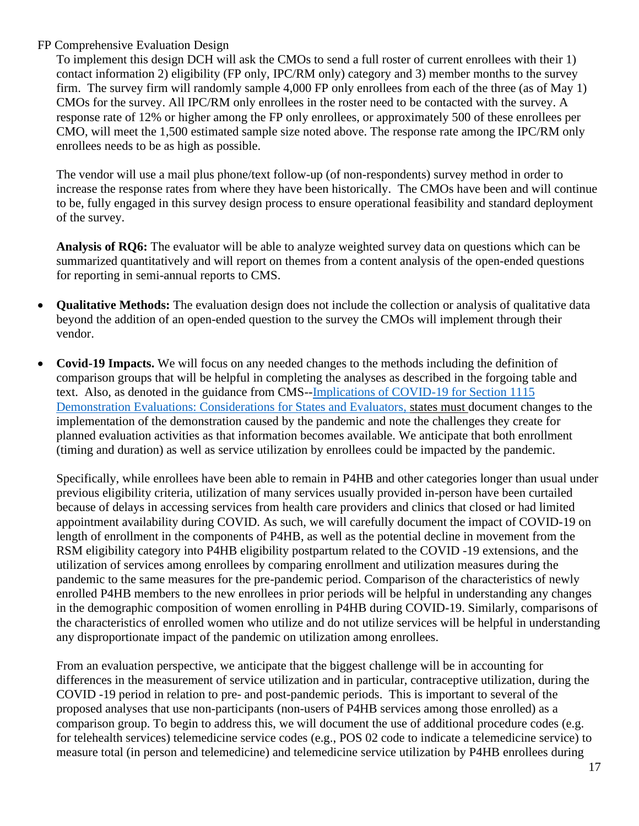To implement this design DCH will ask the CMOs to send a full roster of current enrollees with their 1) contact information 2) eligibility (FP only, IPC/RM only) category and 3) member months to the survey firm. The survey firm will randomly sample 4,000 FP only enrollees from each of the three (as of May 1) CMOs for the survey. All IPC/RM only enrollees in the roster need to be contacted with the survey. A response rate of 12% or higher among the FP only enrollees, or approximately 500 of these enrollees per CMO, will meet the 1,500 estimated sample size noted above. The response rate among the IPC/RM only enrollees needs to be as high as possible.

The vendor will use a mail plus phone/text follow-up (of non-respondents) survey method in order to increase the response rates from where they have been historically. The CMOs have been and will continue to be, fully engaged in this survey design process to ensure operational feasibility and standard deployment of the survey.

**Analysis of RQ6:** The evaluator will be able to analyze weighted survey data on questions which can be summarized quantitatively and will report on themes from a content analysis of the open-ended questions for reporting in semi-annual reports to CMS.

- **Qualitative Methods:** The evaluation design does not include the collection or analysis of qualitative data beyond the addition of an open-ended question to the survey the CMOs will implement through their vendor.
- **Covid-19 Impacts.** We will focus on any needed changes to the methods including the definition of comparison groups that will be helpful in completing the analyses as described in the forgoing table and text. Also, as denoted in the guidance from CMS-[-Implications of COVID-19 for Section 1115](https://nam11.safelinks.protection.outlook.com/?url=https%3A%2F%2Fwww.medicaid.gov%2Fmedicaid%2Fsection-1115-demo%2Fdownloads%2Fevaluation-reports%2F1115-covid19-implications.pdf&data=04%7C01%7Ceadam01%40emory.edu%7Cbe9ff82a06f94c2d950808d8d42cbc45%7Ce004fb9cb0a4424fbcd0322606d5df38%7C0%7C0%7C637492636718044607%7CUnknown%7CTWFpbGZsb3d8eyJWIjoiMC4wLjAwMDAiLCJQIjoiV2luMzIiLCJBTiI6Ik1haWwiLCJXVCI6Mn0%3D%7C1000&sdata=Z6UtK8YkZNfoS8sOx5q%2BzbsjifREBpgj0yKAJi%2FQuro%3D&reserved=0) [Demonstration Evaluations: Considerations for States and Evaluators,](https://nam11.safelinks.protection.outlook.com/?url=https%3A%2F%2Fwww.medicaid.gov%2Fmedicaid%2Fsection-1115-demo%2Fdownloads%2Fevaluation-reports%2F1115-covid19-implications.pdf&data=04%7C01%7Ceadam01%40emory.edu%7Cbe9ff82a06f94c2d950808d8d42cbc45%7Ce004fb9cb0a4424fbcd0322606d5df38%7C0%7C0%7C637492636718044607%7CUnknown%7CTWFpbGZsb3d8eyJWIjoiMC4wLjAwMDAiLCJQIjoiV2luMzIiLCJBTiI6Ik1haWwiLCJXVCI6Mn0%3D%7C1000&sdata=Z6UtK8YkZNfoS8sOx5q%2BzbsjifREBpgj0yKAJi%2FQuro%3D&reserved=0) states must document changes to the implementation of the demonstration caused by the pandemic and note the challenges they create for planned evaluation activities as that information becomes available. We anticipate that both enrollment (timing and duration) as well as service utilization by enrollees could be impacted by the pandemic.

Specifically, while enrollees have been able to remain in P4HB and other categories longer than usual under previous eligibility criteria, utilization of many services usually provided in-person have been curtailed because of delays in accessing services from health care providers and clinics that closed or had limited appointment availability during COVID. As such, we will carefully document the impact of COVID-19 on length of enrollment in the components of P4HB, as well as the potential decline in movement from the RSM eligibility category into P4HB eligibility postpartum related to the COVID -19 extensions, and the utilization of services among enrollees by comparing enrollment and utilization measures during the pandemic to the same measures for the pre-pandemic period. Comparison of the characteristics of newly enrolled P4HB members to the new enrollees in prior periods will be helpful in understanding any changes in the demographic composition of women enrolling in P4HB during COVID-19. Similarly, comparisons of the characteristics of enrolled women who utilize and do not utilize services will be helpful in understanding any disproportionate impact of the pandemic on utilization among enrollees.

From an evaluation perspective, we anticipate that the biggest challenge will be in accounting for differences in the measurement of service utilization and in particular, contraceptive utilization, during the COVID -19 period in relation to pre- and post-pandemic periods. This is important to several of the proposed analyses that use non-participants (non-users of P4HB services among those enrolled) as a comparison group. To begin to address this, we will document the use of additional procedure codes (e.g. for telehealth services) telemedicine service codes (e.g., POS 02 code to indicate a telemedicine service) to measure total (in person and telemedicine) and telemedicine service utilization by P4HB enrollees during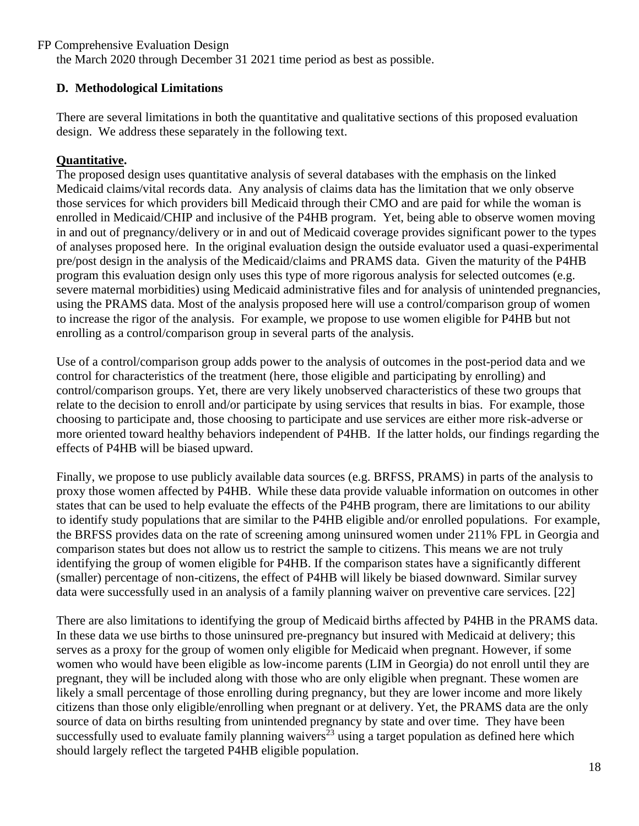the March 2020 through December 31 2021 time period as best as possible.

## **D. Methodological Limitations**

There are several limitations in both the quantitative and qualitative sections of this proposed evaluation design. We address these separately in the following text.

## **Quantitative.**

The proposed design uses quantitative analysis of several databases with the emphasis on the linked Medicaid claims/vital records data. Any analysis of claims data has the limitation that we only observe those services for which providers bill Medicaid through their CMO and are paid for while the woman is enrolled in Medicaid/CHIP and inclusive of the P4HB program. Yet, being able to observe women moving in and out of pregnancy/delivery or in and out of Medicaid coverage provides significant power to the types of analyses proposed here. In the original evaluation design the outside evaluator used a quasi-experimental pre/post design in the analysis of the Medicaid/claims and PRAMS data. Given the maturity of the P4HB program this evaluation design only uses this type of more rigorous analysis for selected outcomes (e.g. severe maternal morbidities) using Medicaid administrative files and for analysis of unintended pregnancies, using the PRAMS data. Most of the analysis proposed here will use a control/comparison group of women to increase the rigor of the analysis. For example, we propose to use women eligible for P4HB but not enrolling as a control/comparison group in several parts of the analysis.

Use of a control/comparison group adds power to the analysis of outcomes in the post-period data and we control for characteristics of the treatment (here, those eligible and participating by enrolling) and control/comparison groups. Yet, there are very likely unobserved characteristics of these two groups that relate to the decision to enroll and/or participate by using services that results in bias. For example, those choosing to participate and, those choosing to participate and use services are either more risk-adverse or more oriented toward healthy behaviors independent of P4HB. If the latter holds, our findings regarding the effects of P4HB will be biased upward.

Finally, we propose to use publicly available data sources (e.g. BRFSS, PRAMS) in parts of the analysis to proxy those women affected by P4HB. While these data provide valuable information on outcomes in other states that can be used to help evaluate the effects of the P4HB program, there are limitations to our ability to identify study populations that are similar to the P4HB eligible and/or enrolled populations. For example, the BRFSS provides data on the rate of screening among uninsured women under 211% FPL in Georgia and comparison states but does not allow us to restrict the sample to citizens. This means we are not truly identifying the group of women eligible for P4HB. If the comparison states have a significantly different (smaller) percentage of non-citizens, the effect of P4HB will likely be biased downward. Similar survey data were successfully used in an analysis of a family planning waiver on preventive care services. [22]

There are also limitations to identifying the group of Medicaid births affected by P4HB in the PRAMS data. In these data we use births to those uninsured pre-pregnancy but insured with Medicaid at delivery; this serves as a proxy for the group of women only eligible for Medicaid when pregnant. However, if some women who would have been eligible as low-income parents (LIM in Georgia) do not enroll until they are pregnant, they will be included along with those who are only eligible when pregnant. These women are likely a small percentage of those enrolling during pregnancy, but they are lower income and more likely citizens than those only eligible/enrolling when pregnant or at delivery. Yet, the PRAMS data are the only source of data on births resulting from unintended pregnancy by state and over time. They have been successfully used to evaluate family planning waivers<sup> $23$ </sup> using a target population as defined here which should largely reflect the targeted P4HB eligible population.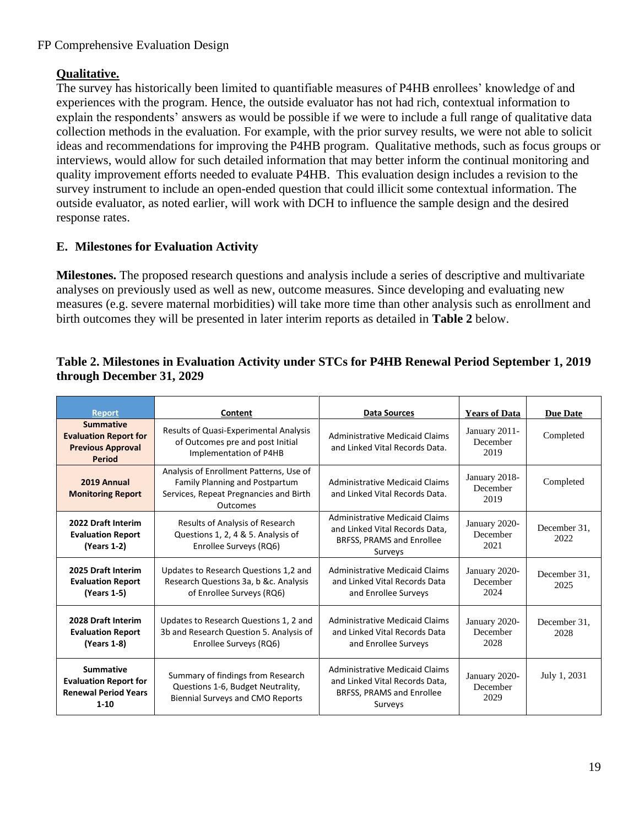# **Qualitative.**

The survey has historically been limited to quantifiable measures of P4HB enrollees' knowledge of and experiences with the program. Hence, the outside evaluator has not had rich, contextual information to explain the respondents' answers as would be possible if we were to include a full range of qualitative data collection methods in the evaluation. For example, with the prior survey results, we were not able to solicit ideas and recommendations for improving the P4HB program. Qualitative methods, such as focus groups or interviews, would allow for such detailed information that may better inform the continual monitoring and quality improvement efforts needed to evaluate P4HB. This evaluation design includes a revision to the survey instrument to include an open-ended question that could illicit some contextual information. The outside evaluator, as noted earlier, will work with DCH to influence the sample design and the desired response rates.

# **E. Milestones for Evaluation Activity**

**Milestones.** The proposed research questions and analysis include a series of descriptive and multivariate analyses on previously used as well as new, outcome measures. Since developing and evaluating new measures (e.g. severe maternal morbidities) will take more time than other analysis such as enrollment and birth outcomes they will be presented in later interim reports as detailed in **Table 2** below.

## **Table 2. Milestones in Evaluation Activity under STCs for P4HB Renewal Period September 1, 2019 through December 31, 2029**

| <b>Report</b>                                                                                 | Content                                                                                                                                | <b>Data Sources</b>                                                                                             | <b>Years of Data</b>              | <b>Due Date</b>      |
|-----------------------------------------------------------------------------------------------|----------------------------------------------------------------------------------------------------------------------------------------|-----------------------------------------------------------------------------------------------------------------|-----------------------------------|----------------------|
| <b>Summative</b><br><b>Evaluation Report for</b><br><b>Previous Approval</b><br><b>Period</b> | <b>Results of Quasi-Experimental Analysis</b><br>of Outcomes pre and post Initial<br>Implementation of P4HB                            | <b>Administrative Medicaid Claims</b><br>and Linked Vital Records Data.                                         | January 2011-<br>December<br>2019 | Completed            |
| 2019 Annual<br><b>Monitoring Report</b>                                                       | Analysis of Enrollment Patterns, Use of<br>Family Planning and Postpartum<br>Services, Repeat Pregnancies and Birth<br><b>Outcomes</b> | <b>Administrative Medicaid Claims</b><br>and Linked Vital Records Data.                                         | January 2018-<br>December<br>2019 | Completed            |
| 2022 Draft Interim<br><b>Evaluation Report</b><br>(Years 1-2)                                 | Results of Analysis of Research<br>Questions 1, 2, 4 & 5. Analysis of<br>Enrollee Surveys (RQ6)                                        | <b>Administrative Medicaid Claims</b><br>and Linked Vital Records Data,<br>BRFSS, PRAMS and Enrollee<br>Surveys | January 2020-<br>December<br>2021 | December 31.<br>2022 |
| 2025 Draft Interim<br><b>Evaluation Report</b><br>(Years 1-5)                                 | Updates to Research Questions 1,2 and<br>Research Questions 3a, b &c. Analysis<br>of Enrollee Surveys (RQ6)                            | Administrative Medicaid Claims<br>and Linked Vital Records Data<br>and Enrollee Surveys                         | January 2020-<br>December<br>2024 | December 31.<br>2025 |
| 2028 Draft Interim<br><b>Evaluation Report</b><br>(Years 1-8)                                 | Updates to Research Questions 1, 2 and<br>3b and Research Question 5. Analysis of<br>Enrollee Surveys (RQ6)                            | Administrative Medicaid Claims<br>and Linked Vital Records Data<br>and Enrollee Surveys                         | January 2020-<br>December<br>2028 | December 31.<br>2028 |
| <b>Summative</b><br><b>Evaluation Report for</b><br><b>Renewal Period Years</b><br>$1 - 10$   | Summary of findings from Research<br>Questions 1-6, Budget Neutrality,<br><b>Biennial Surveys and CMO Reports</b>                      | <b>Administrative Medicaid Claims</b><br>and Linked Vital Records Data,<br>BRFSS, PRAMS and Enrollee<br>Surveys | January 2020-<br>December<br>2029 | July 1, 2031         |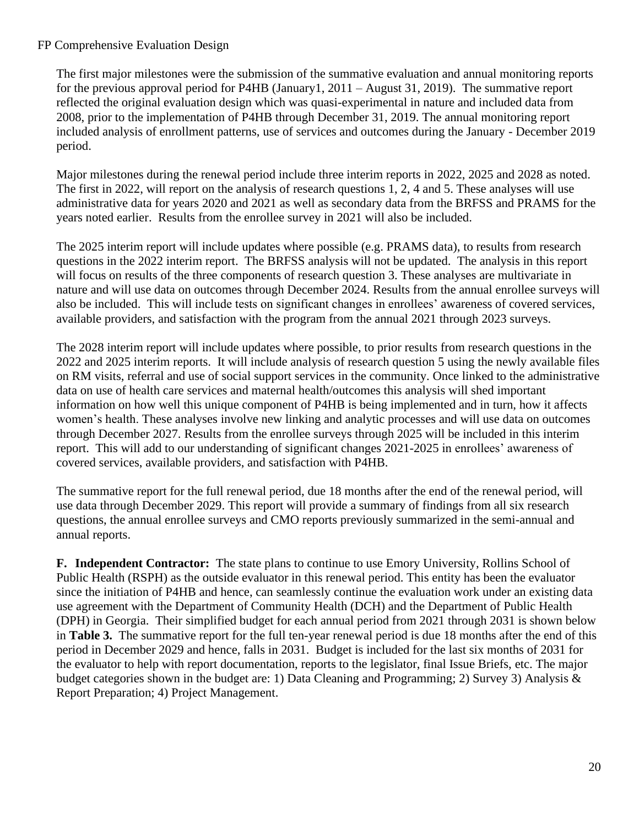The first major milestones were the submission of the summative evaluation and annual monitoring reports for the previous approval period for P4HB (January1, 2011 – August 31, 2019). The summative report reflected the original evaluation design which was quasi-experimental in nature and included data from 2008, prior to the implementation of P4HB through December 31, 2019. The annual monitoring report included analysis of enrollment patterns, use of services and outcomes during the January - December 2019 period.

Major milestones during the renewal period include three interim reports in 2022, 2025 and 2028 as noted. The first in 2022, will report on the analysis of research questions 1, 2, 4 and 5. These analyses will use administrative data for years 2020 and 2021 as well as secondary data from the BRFSS and PRAMS for the years noted earlier. Results from the enrollee survey in 2021 will also be included.

The 2025 interim report will include updates where possible (e.g. PRAMS data), to results from research questions in the 2022 interim report. The BRFSS analysis will not be updated. The analysis in this report will focus on results of the three components of research question 3. These analyses are multivariate in nature and will use data on outcomes through December 2024. Results from the annual enrollee surveys will also be included. This will include tests on significant changes in enrollees' awareness of covered services, available providers, and satisfaction with the program from the annual 2021 through 2023 surveys.

The 2028 interim report will include updates where possible, to prior results from research questions in the 2022 and 2025 interim reports. It will include analysis of research question 5 using the newly available files on RM visits, referral and use of social support services in the community. Once linked to the administrative data on use of health care services and maternal health/outcomes this analysis will shed important information on how well this unique component of P4HB is being implemented and in turn, how it affects women's health. These analyses involve new linking and analytic processes and will use data on outcomes through December 2027. Results from the enrollee surveys through 2025 will be included in this interim report. This will add to our understanding of significant changes 2021-2025 in enrollees' awareness of covered services, available providers, and satisfaction with P4HB.

The summative report for the full renewal period, due 18 months after the end of the renewal period, will use data through December 2029. This report will provide a summary of findings from all six research questions, the annual enrollee surveys and CMO reports previously summarized in the semi-annual and annual reports.

**F. Independent Contractor:** The state plans to continue to use Emory University, Rollins School of Public Health (RSPH) as the outside evaluator in this renewal period. This entity has been the evaluator since the initiation of P4HB and hence, can seamlessly continue the evaluation work under an existing data use agreement with the Department of Community Health (DCH) and the Department of Public Health (DPH) in Georgia. Their simplified budget for each annual period from 2021 through 2031 is shown below in **Table 3.** The summative report for the full ten-year renewal period is due 18 months after the end of this period in December 2029 and hence, falls in 2031. Budget is included for the last six months of 2031 for the evaluator to help with report documentation, reports to the legislator, final Issue Briefs, etc. The major budget categories shown in the budget are: 1) Data Cleaning and Programming; 2) Survey 3) Analysis & Report Preparation; 4) Project Management.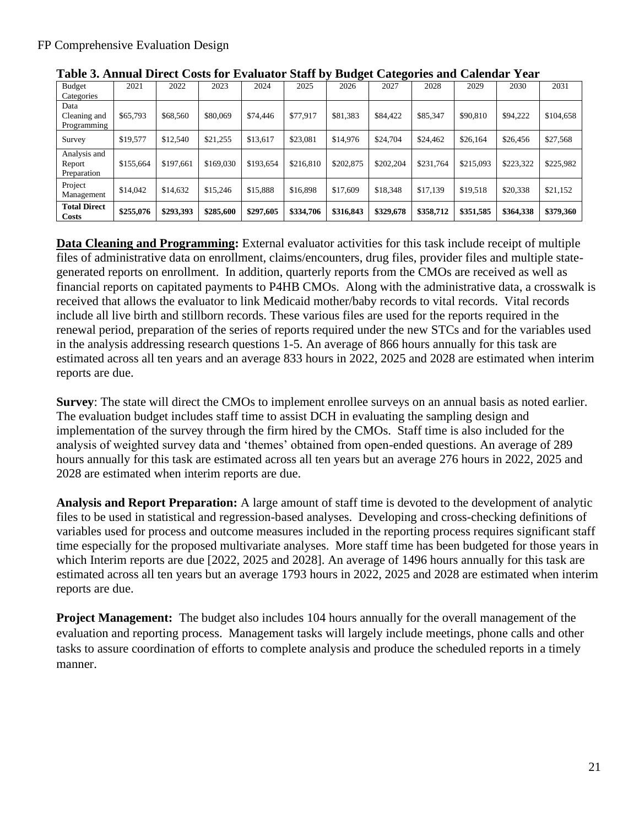|                                       |           |           |           | ີ<br>ີ    |           |           |           |           |           |           |           |
|---------------------------------------|-----------|-----------|-----------|-----------|-----------|-----------|-----------|-----------|-----------|-----------|-----------|
| Budget<br>Categories                  | 2021      | 2022      | 2023      | 2024      | 2025      | 2026      | 2027      | 2028      | 2029      | 2030      | 2031      |
| Data<br>Cleaning and<br>Programming   | \$65,793  | \$68,560  | \$80,069  | \$74,446  | \$77,917  | \$81,383  | \$84,422  | \$85,347  | \$90,810  | \$94,222  | \$104,658 |
| Survey                                | \$19,577  | \$12,540  | \$21,255  | \$13,617  | \$23,081  | \$14,976  | \$24,704  | \$24,462  | \$26,164  | \$26,456  | \$27,568  |
| Analysis and<br>Report<br>Preparation | \$155,664 | \$197,661 | \$169,030 | \$193,654 | \$216,810 | \$202,875 | \$202,204 | \$231,764 | \$215,093 | \$223,322 | \$225,982 |
| Project<br>Management                 | \$14,042  | \$14,632  | \$15,246  | \$15,888  | \$16,898  | \$17,609  | \$18,348  | \$17.139  | \$19.518  | \$20,338  | \$21,152  |
| <b>Total Direct</b><br><b>Costs</b>   | \$255,076 | \$293,393 | \$285,600 | \$297,605 | \$334,706 | \$316,843 | \$329,678 | \$358,712 | \$351,585 | \$364,338 | \$379,360 |

**Table 3. Annual Direct Costs for Evaluator Staff by Budget Categories and Calendar Year**

**Data Cleaning and Programming:** External evaluator activities for this task include receipt of multiple files of administrative data on enrollment, claims/encounters, drug files, provider files and multiple stategenerated reports on enrollment. In addition, quarterly reports from the CMOs are received as well as financial reports on capitated payments to P4HB CMOs. Along with the administrative data, a crosswalk is received that allows the evaluator to link Medicaid mother/baby records to vital records. Vital records include all live birth and stillborn records. These various files are used for the reports required in the renewal period, preparation of the series of reports required under the new STCs and for the variables used in the analysis addressing research questions 1-5. An average of 866 hours annually for this task are estimated across all ten years and an average 833 hours in 2022, 2025 and 2028 are estimated when interim reports are due.

**Survey**: The state will direct the CMOs to implement enrollee surveys on an annual basis as noted earlier. The evaluation budget includes staff time to assist DCH in evaluating the sampling design and implementation of the survey through the firm hired by the CMOs. Staff time is also included for the analysis of weighted survey data and 'themes' obtained from open-ended questions. An average of 289 hours annually for this task are estimated across all ten years but an average 276 hours in 2022, 2025 and 2028 are estimated when interim reports are due.

**Analysis and Report Preparation:** A large amount of staff time is devoted to the development of analytic files to be used in statistical and regression-based analyses. Developing and cross-checking definitions of variables used for process and outcome measures included in the reporting process requires significant staff time especially for the proposed multivariate analyses. More staff time has been budgeted for those years in which Interim reports are due [2022, 2025 and 2028]. An average of 1496 hours annually for this task are estimated across all ten years but an average 1793 hours in 2022, 2025 and 2028 are estimated when interim reports are due.

**Project Management:** The budget also includes 104 hours annually for the overall management of the evaluation and reporting process. Management tasks will largely include meetings, phone calls and other tasks to assure coordination of efforts to complete analysis and produce the scheduled reports in a timely manner.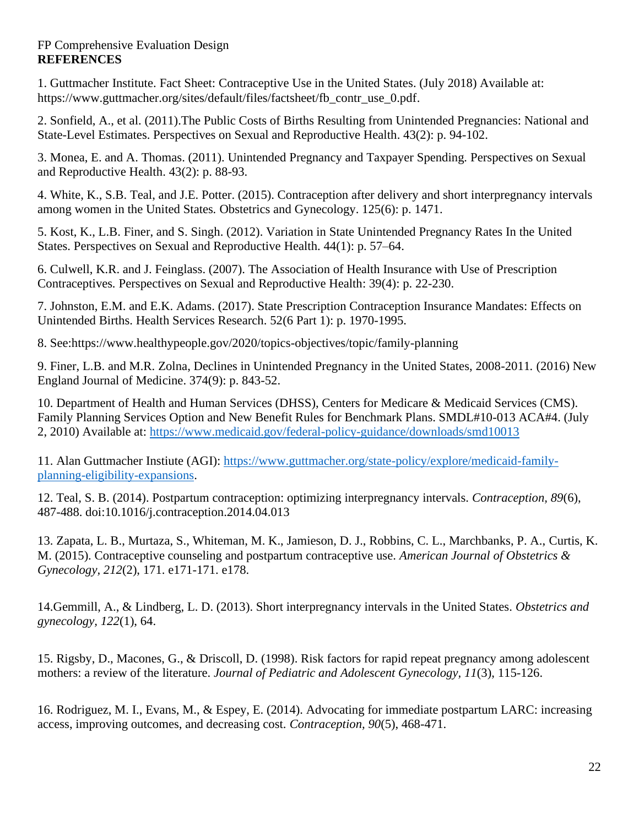## FP Comprehensive Evaluation Design **REFERENCES**

1. Guttmacher Institute. Fact Sheet: Contraceptive Use in the United States. (July 2018) Available at: https://www.guttmacher.org/sites/default/files/factsheet/fb\_contr\_use\_0.pdf.

2. Sonfield, A., et al. (2011).The Public Costs of Births Resulting from Unintended Pregnancies: National and State-Level Estimates. Perspectives on Sexual and Reproductive Health. 43(2): p. 94-102.

3. Monea, E. and A. Thomas. (2011). Unintended Pregnancy and Taxpayer Spending*.* Perspectives on Sexual and Reproductive Health. 43(2): p. 88-93.

4. White, K., S.B. Teal, and J.E. Potter. (2015). Contraception after delivery and short interpregnancy intervals among women in the United States*.* Obstetrics and Gynecology. 125(6): p. 1471.

5. Kost, K., L.B. Finer, and S. Singh. (2012). Variation in State Unintended Pregnancy Rates In the United States. Perspectives on Sexual and Reproductive Health. 44(1): p. 57–64.

6. Culwell, K.R. and J. Feinglass. (2007). The Association of Health Insurance with Use of Prescription Contraceptives*.* Perspectives on Sexual and Reproductive Health: 39(4): p. 22-230.

7. Johnston, E.M. and E.K. Adams. (2017). State Prescription Contraception Insurance Mandates: Effects on Unintended Births. Health Services Research. 52(6 Part 1): p. 1970-1995.

8. See:https://www.healthypeople.gov/2020/topics-objectives/topic/family-planning

9. Finer, L.B. and M.R. Zolna, Declines in Unintended Pregnancy in the United States, 2008-2011*.* (2016) New England Journal of Medicine. 374(9): p. 843-52.

10. Department of Health and Human Services (DHSS), Centers for Medicare & Medicaid Services (CMS). Family Planning Services Option and New Benefit Rules for Benchmark Plans. SMDL#10-013 ACA#4. (July 2, 2010) Available at: <https://www.medicaid.gov/federal-policy-guidance/downloads/smd10013>

11. Alan Guttmacher Instiute (AGI): [https://www.guttmacher.org/state-policy/explore/medicaid-family](https://www.guttmacher.org/state-policy/explore/medicaid-family-planning-eligibility-expansions)[planning-eligibility-expansions.](https://www.guttmacher.org/state-policy/explore/medicaid-family-planning-eligibility-expansions)

12. Teal, S. B. (2014). Postpartum contraception: optimizing interpregnancy intervals. *Contraception, 89*(6), 487-488. doi:10.1016/j.contraception.2014.04.013

13. Zapata, L. B., Murtaza, S., Whiteman, M. K., Jamieson, D. J., Robbins, C. L., Marchbanks, P. A., Curtis, K. M. (2015). Contraceptive counseling and postpartum contraceptive use. *American Journal of Obstetrics & Gynecology, 212*(2), 171. e171-171. e178.

14.Gemmill, A., & Lindberg, L. D. (2013). Short interpregnancy intervals in the United States. *Obstetrics and gynecology, 122*(1), 64.

15. Rigsby, D., Macones, G., & Driscoll, D. (1998). Risk factors for rapid repeat pregnancy among adolescent mothers: a review of the literature. *Journal of Pediatric and Adolescent Gynecology, 11*(3), 115-126.

16. Rodriguez, M. I., Evans, M., & Espey, E. (2014). Advocating for immediate postpartum LARC: increasing access, improving outcomes, and decreasing cost. *Contraception, 90*(5), 468-471.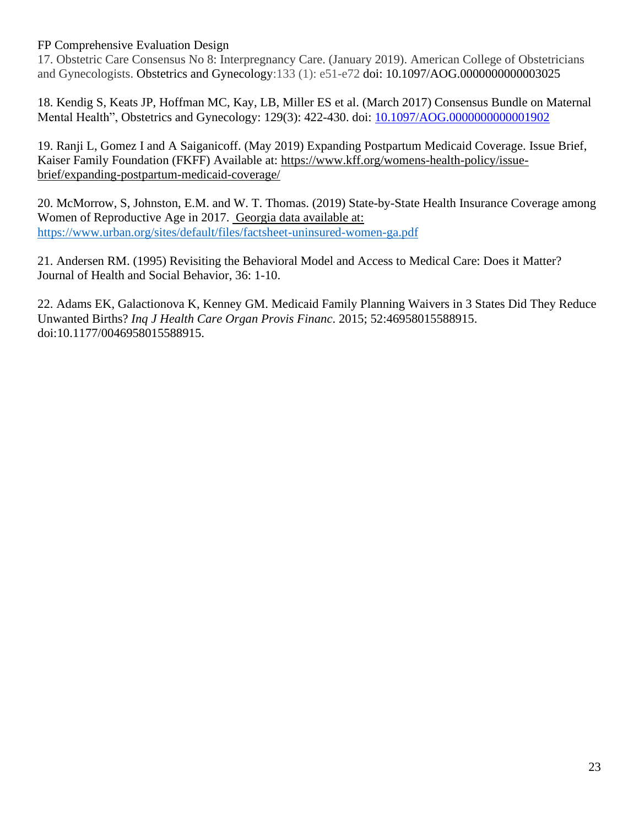17. Obstetric Care Consensus No 8: Interpregnancy Care. (January 2019). American College of Obstetricians and Gynecologists. Obstetrics and Gynecology:133 (1): e51-e72 doi: 10.1097/AOG.0000000000003025

18. Kendig S, Keats JP, Hoffman MC, Kay, LB, Miller ES et al. (March 2017) Consensus Bundle on Maternal Mental Health", Obstetrics and Gynecology: 129(3): 422-430. doi: 10.1097/AOG.00000000000001902

19. Ranji L, Gomez I and A Saiganicoff. (May 2019) Expanding Postpartum Medicaid Coverage. Issue Brief, Kaiser Family Foundation (FKFF) Available at: [https://www.kff.org/womens-health-policy/issue](https://www.kff.org/womens-health-policy/issue-brief/expanding-postpartum-medicaid-coverage/)[brief/expanding-postpartum-medicaid-coverage/](https://www.kff.org/womens-health-policy/issue-brief/expanding-postpartum-medicaid-coverage/)

20. McMorrow, S, Johnston, E.M. and W. T. Thomas. (2019) State-by-State Health Insurance Coverage among Women of Reproductive Age in 2017. Georgia data available at: <https://www.urban.org/sites/default/files/factsheet-uninsured-women-ga.pdf>

21. Andersen RM. (1995) Revisiting the Behavioral Model and Access to Medical Care: Does it Matter? Journal of Health and Social Behavior, 36: 1-10.

22. Adams EK, Galactionova K, Kenney GM. Medicaid Family Planning Waivers in 3 States Did They Reduce Unwanted Births? *Inq J Health Care Organ Provis Financ*. 2015; 52:46958015588915. doi:10.1177/0046958015588915.